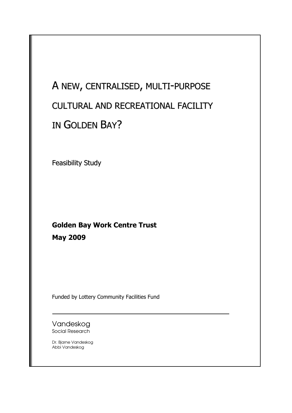# A NEW, CENTRALISED, MULTI-PURPOSE CULTURAL AND RECREATIONAL FACILITY IN GOLDEN BAY?

Feasibility Study

### Golden Bay Work Centre Trust May 2009

Funded by Lottery Community Facilities Fund

Vandeskog Social Research

Dr. Bjarne Vandeskog Abbi Vandeskog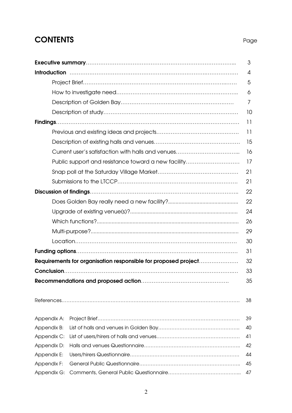### **CONTENTS** Page

|             |                                                                | 3               |
|-------------|----------------------------------------------------------------|-----------------|
|             |                                                                | 4               |
|             |                                                                | 5               |
|             |                                                                | 6               |
|             |                                                                | 7               |
|             |                                                                | 10              |
|             |                                                                | 11              |
|             |                                                                | $\overline{11}$ |
|             |                                                                | 15              |
|             |                                                                | 16              |
|             | Public support and resistance toward a new facility            | 17              |
|             |                                                                | 21              |
|             |                                                                | 21              |
|             |                                                                | 22              |
|             |                                                                | 22              |
|             |                                                                | 24              |
|             |                                                                | 26              |
|             |                                                                | 29              |
|             |                                                                | 30              |
|             |                                                                | 31              |
|             | Requirements for organisation responsible for proposed project | 32              |
|             |                                                                | 33              |
|             |                                                                | 35              |
|             |                                                                |                 |
|             |                                                                | 38              |
|             |                                                                |                 |
| Appendix A: |                                                                | 39              |
| Appendix B: |                                                                | 40              |
| Appendix C: |                                                                | 41              |
| Appendix D: |                                                                | 42              |
| Appendix E: |                                                                | 44              |
| Appendix F: |                                                                | 45              |
| Appendix G: |                                                                | 47              |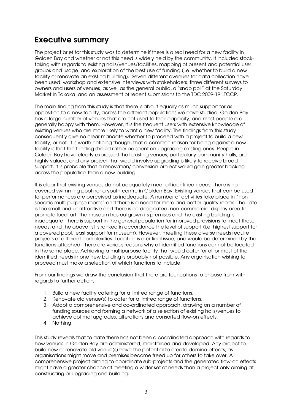### Executive summary

The project brief for this study was to determine if there is a real need for a new facility in Golden Bay and whether or not this need is widely held by the community. It included stocktaking with regards to existing halls/venues/facilities, mapping of present and potential user groups and usage, and exploration of the best use of funding (i.e. whether to build a new facility or renovate an existing building). Seven different avenues for data collection have been used: workshop and extensive interviews with stakeholders, three different surveys to owners and users of venues, as well as the general public, a "snap poll" at the Saturday Market in Takaka, and an assessment of recent submissions to the TDC 2009-19 LTCCP.

The main finding from this study is that there is about equally as much support for as opposition to a new facility, across the different populations we have studied. Golden Bay has a large number of venues that are not used to their capacity, and most people are generally happy with them. However, it is the frequent users with extensive knowledge of existing venues who are more likely to want a new facility. The findings from this study consequently give no clear mandate whether to proceed with a project to build a new facility, or not. It is worth noticing though, that a common reason for being against a new facility is that the funding should rather be spent on upgrading existing ones. People in Golden Bay have clearly expressed that existing venues, particularly community halls, are highly valued, and any project that would involve upgrading is likely to receive broad support. It is probable that a renovation/ conversion project would gain greater backing across the population than a new building.

It is clear that existing venues do not adequately meet all identified needs. There is no covered swimming pool nor a youth centre in Golden Bay. Existing venues that can be used for performances are perceived as inadequate. A number of activities take place in "non specific multi-purpose rooms" and there is a need for more and better quality rooms. The I-site is too small and unattractive and there is no designated, non-commercial display area to promote local art. The museum has outgrown its premises and the existing building is inadequate. There is support in the general population for improved provisions to meet these needs, and the above list is ranked in accordance the level of support (i.e. highest support for a covered pool, least support for museum). However, meeting these diverse needs require projects of different complexities. Location is a critical issue, and would be determined by the functions attached. There are various reasons why all identified functions cannot be located in the same place. Achieving a multipurpose facility that would cater for all or most of the identified needs in one new building is probably not possible. Any organisation wishing to proceed must make a selection of which functions to include.

From our findings we draw the conclusion that there are four options to choose from with regards to further actions:

- 1. Build a new facility catering for a limited range of functions.
- 2. Renovate old venue(s) to cater for a limited range of functions.
- 3. Adopt a comprehensive and co-ordinated approach, drawing on a number of funding sources and forming a network of a selection of existing halls/venues to achieve optimal upgrades, alterations and consorted flow-on effects.
- 4. Nothing.

This study reveals that to date there has not been a coordinated approach with regards to how venues in Golden Bay are administered, maintained and developed. Any project to build new or renovate old venue(s) have the potential to create domino-effects, as organisations might move and premises become freed up for others to take over. A comprehensive project aiming to coordinate sub-projects and the generated flow-on effects might have a greater chance at meeting a wider set of needs than a project only aiming at constructing or upgrading one building.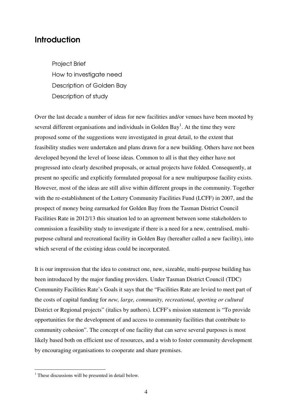### **Introduction**

Project Brief How to investigate need Description of Golden Bay Description of study

Over the last decade a number of ideas for new facilities and/or venues have been mooted by several different organisations and individuals in Golden Bay<sup>1</sup>. At the time they were proposed some of the suggestions were investigated in great detail, to the extent that feasibility studies were undertaken and plans drawn for a new building. Others have not been developed beyond the level of loose ideas. Common to all is that they either have not progressed into clearly described proposals, or actual projects have folded. Consequently, at present no specific and explicitly formulated proposal for a new multipurpose facility exists. However, most of the ideas are still alive within different groups in the community. Together with the re-establishment of the Lottery Community Facilities Fund (LCFF) in 2007, and the prospect of money being earmarked for Golden Bay from the Tasman District Council Facilities Rate in 2012/13 this situation led to an agreement between some stakeholders to commission a feasibility study to investigate if there is a need for a new, centralised, multipurpose cultural and recreational facility in Golden Bay (hereafter called a new facility), into which several of the existing ideas could be incorporated.

It is our impression that the idea to construct one, new, sizeable, multi-purpose building has been introduced by the major funding providers. Under Tasman District Council (TDC) Community Facilities Rate's Goals it says that the "Facilities Rate are levied to meet part of the costs of capital funding for *new, large, community, recreational, sporting or cultural* District or Regional projects" (italics by authors). LCFF's mission statement is "To provide opportunities for the development of and access to community facilities that contribute to community cohesion". The concept of one facility that can serve several purposes is most likely based both on efficient use of resources, and a wish to foster community development by encouraging organisations to cooperate and share premises.

<sup>&</sup>lt;sup>1</sup> These discussions will be presented in detail below.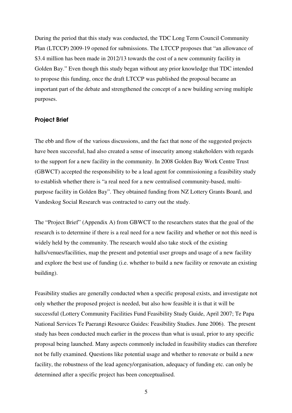During the period that this study was conducted, the TDC Long Term Council Community Plan (LTCCP) 2009-19 opened for submissions. The LTCCP proposes that "an allowance of \$3.4 million has been made in 2012/13 towards the cost of a new community facility in Golden Bay." Even though this study began without any prior knowledge that TDC intended to propose this funding, once the draft LTCCP was published the proposal became an important part of the debate and strengthened the concept of a new building serving multiple purposes.

#### Project Brief

The ebb and flow of the various discussions, and the fact that none of the suggested projects have been successful, had also created a sense of insecurity among stakeholders with regards to the support for a new facility in the community. In 2008 Golden Bay Work Centre Trust (GBWCT) accepted the responsibility to be a lead agent for commissioning a feasibility study to establish whether there is "a real need for a new centralised community-based, multipurpose facility in Golden Bay". They obtained funding from NZ Lottery Grants Board, and Vandeskog Social Research was contracted to carry out the study.

The "Project Brief" (Appendix A) from GBWCT to the researchers states that the goal of the research is to determine if there is a real need for a new facility and whether or not this need is widely held by the community. The research would also take stock of the existing halls/venues/facilities, map the present and potential user groups and usage of a new facility and explore the best use of funding (i.e. whether to build a new facility or renovate an existing building).

Feasibility studies are generally conducted when a specific proposal exists, and investigate not only whether the proposed project is needed, but also how feasible it is that it will be successful (Lottery Community Facilities Fund Feasibility Study Guide, April 2007; Te Papa National Services Te Paerangi Resource Guides: Feasibility Studies. June 2006). The present study has been conducted much earlier in the process than what is usual, prior to any specific proposal being launched. Many aspects commonly included in feasibility studies can therefore not be fully examined. Questions like potential usage and whether to renovate or build a new facility, the robustness of the lead agency/organisation, adequacy of funding etc. can only be determined after a specific project has been conceptualised.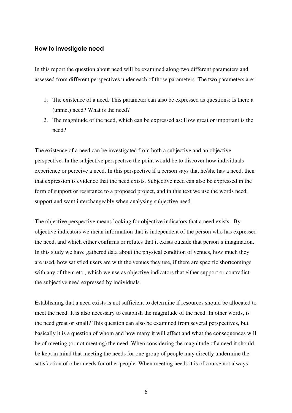### How to investigate need

In this report the question about need will be examined along two different parameters and assessed from different perspectives under each of those parameters. The two parameters are:

- 1. The existence of a need. This parameter can also be expressed as questions: Is there a (unmet) need? What is the need?
- 2. The magnitude of the need, which can be expressed as: How great or important is the need?

The existence of a need can be investigated from both a subjective and an objective perspective. In the subjective perspective the point would be to discover how individuals experience or perceive a need. In this perspective if a person says that he/she has a need, then that expression is evidence that the need exists. Subjective need can also be expressed in the form of support or resistance to a proposed project, and in this text we use the words need, support and want interchangeably when analysing subjective need.

The objective perspective means looking for objective indicators that a need exists. By objective indicators we mean information that is independent of the person who has expressed the need, and which either confirms or refutes that it exists outside that person's imagination. In this study we have gathered data about the physical condition of venues, how much they are used, how satisfied users are with the venues they use, if there are specific shortcomings with any of them etc., which we use as objective indicators that either support or contradict the subjective need expressed by individuals.

Establishing that a need exists is not sufficient to determine if resources should be allocated to meet the need. It is also necessary to establish the magnitude of the need. In other words, is the need great or small? This question can also be examined from several perspectives, but basically it is a question of whom and how many it will affect and what the consequences will be of meeting (or not meeting) the need. When considering the magnitude of a need it should be kept in mind that meeting the needs for one group of people may directly undermine the satisfaction of other needs for other people. When meeting needs it is of course not always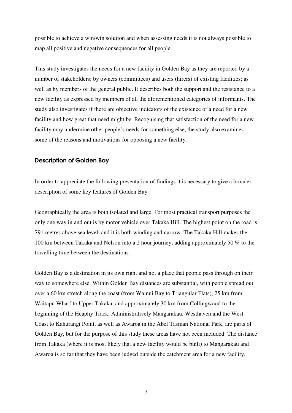possible to achieve a win/win solution and when assessing needs it is not always possible to map all positive and negative consequences for all people.

This study investigates the needs for a new facility in Golden Bay as they are reported by a number of stakeholders; by owners (committees) and users (hirers) of existing facilities; as well as by members of the general public. It describes both the support and the resistance to a new facility as expressed by members of all the aforementioned categories of informants. The study also investigates if there are objective indicators of the existence of a need for a new facility and how great that need might be. Recognising that satisfaction of the need for a new facility may undermine other people's needs for something else, the study also examines some of the reasons and motivations for opposing a new facility.

#### Description of Golden Bay

In order to appreciate the following presentation of findings it is necessary to give a broader description of some key features of Golden Bay.

Geographically the area is both isolated and large. For most practical transport purposes the only one way in and out is by motor vehicle over Takaka Hill. The highest point on the road is 791 metres above sea level, and it is both winding and narrow. The Takaka Hill makes the 100 km between Takaka and Nelson into a 2 hour journey; adding approximately 50 % to the travelling time between the destinations.

Golden Bay is a destination in its own right and not a place that people pass through on their way to somewhere else. Within Golden Bay distances are substantial, with people spread out over a 60 km stretch along the coast (from Wainui Bay to Triangular Flats), 25 km from Waitapu Wharf to Upper Takaka, and approximately 30 km from Collingwood to the beginning of the Heaphy Track. Administratively Mangarakau, Westhaven and the West Coast to Kahurangi Point, as well as Awaroa in the Abel Tasman National Park, are parts of Golden Bay, but for the purpose of this study these areas have not been included. The distance from Takaka (where it is most likely that a new facility would be built) to Mangarakau and Awaroa is so far that they have been judged outside the catchment area for a new facility.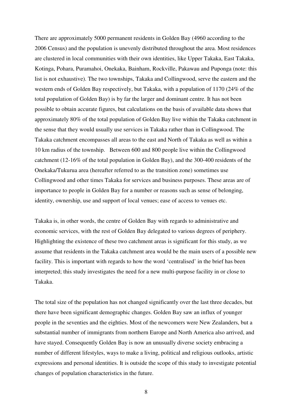There are approximately 5000 permanent residents in Golden Bay (4960 according to the 2006 Census) and the population is unevenly distributed throughout the area. Most residences are clustered in local communities with their own identities, like Upper Takaka, East Takaka, Kotinga, Pohara, Puramahoi, Onekaka, Bainham, Rockville, Pakawau and Puponga (note: this list is not exhaustive). The two townships, Takaka and Collingwood, serve the eastern and the western ends of Golden Bay respectively, but Takaka, with a population of 1170 (24% of the total population of Golden Bay) is by far the larger and dominant centre. It has not been possible to obtain accurate figures, but calculations on the basis of available data shows that approximately 80% of the total population of Golden Bay live within the Takaka catchment in the sense that they would usually use services in Takaka rather than in Collingwood. The Takaka catchment encompasses all areas to the east and North of Takaka as well as within a 10 km radius of the township. Between 600 and 800 people live within the Collingwood catchment (12-16% of the total population in Golden Bay), and the 300-400 residents of the Onekaka/Tukurua area (hereafter referred to as the transition zone) sometimes use Collingwood and other times Takaka for services and business purposes. These areas are of importance to people in Golden Bay for a number or reasons such as sense of belonging, identity, ownership, use and support of local venues; ease of access to venues etc.

Takaka is, in other words, the centre of Golden Bay with regards to administrative and economic services, with the rest of Golden Bay delegated to various degrees of periphery. Highlighting the existence of these two catchment areas is significant for this study, as we assume that residents in the Takaka catchment area would be the main users of a possible new facility. This is important with regards to how the word 'centralised' in the brief has been interpreted; this study investigates the need for a new multi-purpose facility in or close to Takaka.

The total size of the population has not changed significantly over the last three decades, but there have been significant demographic changes. Golden Bay saw an influx of younger people in the seventies and the eighties. Most of the newcomers were New Zealanders, but a substantial number of immigrants from northern Europe and North America also arrived, and have stayed. Consequently Golden Bay is now an unusually diverse society embracing a number of different lifestyles, ways to make a living, political and religious outlooks, artistic expressions and personal identities. It is outside the scope of this study to investigate potential changes of population characteristics in the future.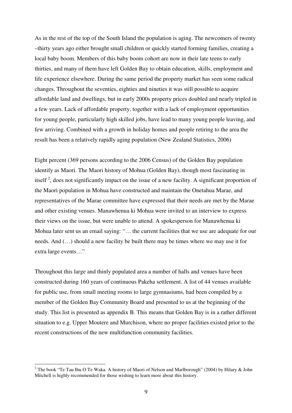As in the rest of the top of the South Island the population is aging. The newcomers of twenty –thirty years ago either brought small children or quickly started forming families, creating a local baby boom. Members of this baby boom cohort are now in their late teens to early thirties, and many of them have left Golden Bay to obtain education, skills, employment and life experience elsewhere. During the same period the property market has seen some radical changes. Throughout the seventies, eighties and nineties it was still possible to acquire affordable land and dwellings, but in early 2000s property prices doubled and nearly tripled in a few years. Lack of affordable property, together with a lack of employment opportunities for young people, particularly high skilled jobs, have lead to many young people leaving, and few arriving. Combined with a growth in holiday homes and people retiring to the area the result has been a relatively rapidly aging population (New Zealand Statistics, 2006)

Eight percent (369 persons according to the 2006 Census) of the Golden Bay population identify as Maori. The Maori history of Mohua (Golden Bay), though most fascinating in itself<sup>2</sup>, does not significantly impact on the issue of a new facility. A significant proportion of the Maori population in Mohua have constructed and maintain the Onetahua Marae, and representatives of the Marae committee have expressed that their needs are met by the Marae and other existing venues. Manawhenua ki Mohua were invited to an interview to express their views on the issue, but were unable to attend. A spokesperson for Manawhenua ki Mohua later sent us an email saying: "… the current facilities that we use are adequate for our needs. And (…) should a new facility be built there may be times where we may use it for extra large events…"

Throughout this large and thinly populated area a number of halls and venues have been constructed during 160 years of continuous Pakeha settlement. A list of 44 venues available for public use, from small meeting rooms to large gymnasiums, had been compiled by a member of the Golden Bay Community Board and presented to us at the beginning of the study. This list is presented as appendix B. This means that Golden Bay is in a rather different situation to e.g. Upper Moutere and Murchison, where no proper facilities existed prior to the recent constructions of the new multifunction community facilities.

 $\overline{a}$ 

<sup>&</sup>lt;sup>2</sup> The book "Te Tau Ihu O Te Waka. A history of Maori of Nelson and Marlborough" (2004) by Hilary & John Mitchell is highly recommended for those wishing to learn more about this history.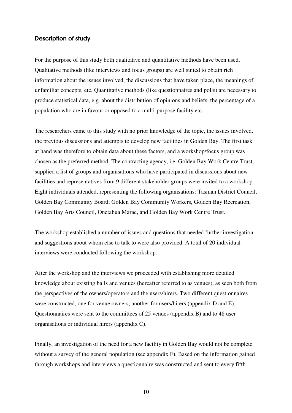### Description of study

For the purpose of this study both qualitative and quantitative methods have been used. Qualitative methods (like interviews and focus groups) are well suited to obtain rich information about the issues involved, the discussions that have taken place, the meanings of unfamiliar concepts, etc. Quantitative methods (like questionnaires and polls) are necessary to produce statistical data, e.g. about the distribution of opinions and beliefs, the percentage of a population who are in favour or opposed to a multi-purpose facility etc.

The researchers came to this study with no prior knowledge of the topic, the issues involved, the previous discussions and attempts to develop new facilities in Golden Bay. The first task at hand was therefore to obtain data about these factors, and a workshop/focus group was chosen as the preferred method. The contracting agency, i.e. Golden Bay Work Centre Trust, supplied a list of groups and organisations who have participated in discussions about new facilities and representatives from 9 different stakeholder groups were invited to a workshop. Eight individuals attended, representing the following organisations: Tasman District Council, Golden Bay Community Board, Golden Bay Community Workers, Golden Bay Recreation, Golden Bay Arts Council, Onetahua Marae, and Golden Bay Work Centre Trust.

The workshop established a number of issues and questions that needed further investigation and suggestions about whom else to talk to were also provided. A total of 20 individual interviews were conducted following the workshop.

After the workshop and the interviews we proceeded with establishing more detailed knowledge about existing halls and venues (hereafter referred to as venues), as seen both from the perspectives of the owners/operators and the users/hirers. Two different questionnaires were constructed, one for venue owners, another for users/hirers (appendix D and E). Questionnaires were sent to the committees of 25 venues (appendix B) and to 48 user organisations or individual hirers (appendix C).

Finally, an investigation of the need for a new facility in Golden Bay would not be complete without a survey of the general population (see appendix F). Based on the information gained through workshops and interviews a questionnaire was constructed and sent to every fifth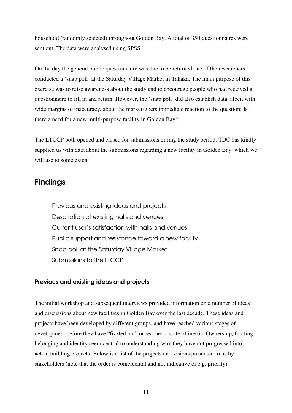household (randomly selected) throughout Golden Bay. A total of 350 questionnaires were sent out. The data were analysed using SPSS.

On the day the general public questionnaire was due to be returned one of the researchers conducted a 'snap poll' at the Saturday Village Market in Takaka. The main purpose of this exercise was to raise awareness about the study and to encourage people who had received a questionnaire to fill in and return. However, the 'snap poll' did also establish data, albeit with wide margins of inaccuracy, about the market-goers immediate reaction to the question: Is there a need for a new multi-purpose facility in Golden Bay?

The LTCCP both opened and closed for submissions during the study period. TDC has kindly supplied us with data about the submissions regarding a new facility in Golden Bay, which we will use to some extent.

### Findings

Previous and existing ideas and projects Description of existing halls and venues Current user's satisfaction with halls and venues Public support and resistance toward a new facility Snap poll at the Saturday Village Market Submissions to the LTCCP

### Previous and existing ideas and projects

The initial workshop and subsequent interviews provided information on a number of ideas and discussions about new facilities in Golden Bay over the last decade. These ideas and projects have been developed by different groups, and have reached various stages of development before they have "fizzled out" or reached a state of inertia. Ownership, funding, belonging and identity seem central to understanding why they have not progressed into actual building projects. Below is a list of the projects and visions presented to us by stakeholders (note that the order is coincidental and not indicative of e.g. priority):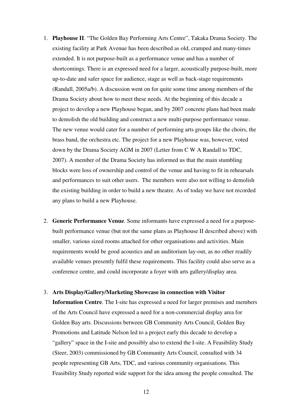- 1. **Playhouse II**. "The Golden Bay Performing Arts Centre", Takaka Drama Society. The existing facility at Park Avenue has been described as old, cramped and many-times extended. It is not purpose-built as a performance venue and has a number of shortcomings. There is an expressed need for a larger, acoustically purpose-built, more up-to-date and safer space for audience, stage as well as back-stage requirements (Randall, 2005a/b). A discussion went on for quite some time among members of the Drama Society about how to meet these needs. At the beginning of this decade a project to develop a new Playhouse began, and by 2007 concrete plans had been made to demolish the old building and construct a new multi-purpose performance venue. The new venue would cater for a number of performing arts groups like the choirs, the brass band, the orchestra etc. The project for a new Playhouse was, however, voted down by the Drama Society AGM in 2007 (Letter from C W A Randall to TDC, 2007). A member of the Drama Society has informed us that the main stumbling blocks were loss of ownership and control of the venue and having to fit in rehearsals and performances to suit other users. The members were also not willing to demolish the existing building in order to build a new theatre. As of today we have not recorded any plans to build a new Playhouse.
- 2. **Generic Performance Venue**. Some informants have expressed a need for a purposebuilt performance venue (but not the same plans as Playhouse II described above) with smaller, various sized rooms attached for other organisations and activities. Main requirements would be good acoustics and an auditorium lay-out, as no other readily available venues presently fulfil these requirements. This facility could also serve as a conference centre, and could incorporate a foyer with arts gallery/display area.

#### 3. **Arts Display/Gallery/Marketing Showcase in connection with Visitor**

**Information Centre**. The I-site has expressed a need for larger premises and members of the Arts Council have expressed a need for a non-commercial display area for Golden Bay arts. Discussions between GB Community Arts Council, Golden Bay Promotions and Latitude Nelson led to a project early this decade to develop a "gallery" space in the I-site and possibly also to extend the I-site. A Feasibility Study (Steer, 2003) commissioned by GB Community Arts Council, consulted with 34 people representing GB Arts, TDC, and various community organisations. This Feasibility Study reported wide support for the idea among the people consulted. The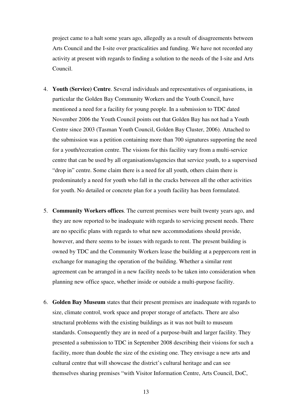project came to a halt some years ago, allegedly as a result of disagreements between Arts Council and the I-site over practicalities and funding. We have not recorded any activity at present with regards to finding a solution to the needs of the I-site and Arts Council.

- 4. **Youth (Service) Centre**. Several individuals and representatives of organisations, in particular the Golden Bay Community Workers and the Youth Council, have mentioned a need for a facility for young people. In a submission to TDC dated November 2006 the Youth Council points out that Golden Bay has not had a Youth Centre since 2003 (Tasman Youth Council, Golden Bay Cluster, 2006). Attached to the submission was a petition containing more than 700 signatures supporting the need for a youth/recreation centre. The visions for this facility vary from a multi-service centre that can be used by all organisations/agencies that service youth, to a supervised "drop in" centre. Some claim there is a need for all youth, others claim there is predominately a need for youth who fall in the cracks between all the other activities for youth. No detailed or concrete plan for a youth facility has been formulated.
- 5. **Community Workers offices**. The current premises were built twenty years ago, and they are now reported to be inadequate with regards to servicing present needs. There are no specific plans with regards to what new accommodations should provide, however, and there seems to be issues with regards to rent. The present building is owned by TDC and the Community Workers lease the building at a peppercorn rent in exchange for managing the operation of the building. Whether a similar rent agreement can be arranged in a new facility needs to be taken into consideration when planning new office space, whether inside or outside a multi-purpose facility.
- 6. **Golden Bay Museum** states that their present premises are inadequate with regards to size, climate control, work space and proper storage of artefacts. There are also structural problems with the existing buildings as it was not built to museum standards. Consequently they are in need of a purpose-built and larger facility. They presented a submission to TDC in September 2008 describing their visions for such a facility, more than double the size of the existing one. They envisage a new arts and cultural centre that will showcase the district's cultural heritage and can see themselves sharing premises "with Visitor Information Centre, Arts Council, DoC,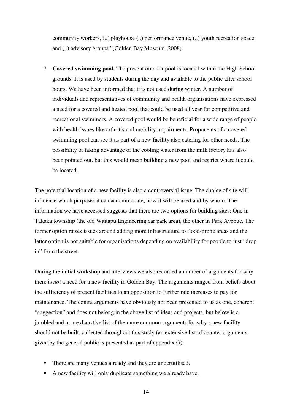community workers, (..) playhouse (..) performance venue, (..) youth recreation space and (..) advisory groups" (Golden Bay Museum, 2008).

7. **Covered swimming pool.** The present outdoor pool is located within the High School grounds. It is used by students during the day and available to the public after school hours. We have been informed that it is not used during winter. A number of individuals and representatives of community and health organisations have expressed a need for a covered and heated pool that could be used all year for competitive and recreational swimmers. A covered pool would be beneficial for a wide range of people with health issues like arthritis and mobility impairments. Proponents of a covered swimming pool can see it as part of a new facility also catering for other needs. The possibility of taking advantage of the cooling water from the milk factory has also been pointed out, but this would mean building a new pool and restrict where it could be located.

The potential location of a new facility is also a controversial issue. The choice of site will influence which purposes it can accommodate, how it will be used and by whom. The information we have accessed suggests that there are two options for building sites: One in Takaka township (the old Waitapu Engineering car park area), the other in Park Avenue. The former option raises issues around adding more infrastructure to flood-prone areas and the latter option is not suitable for organisations depending on availability for people to just "drop in" from the street.

During the initial workshop and interviews we also recorded a number of arguments for why there is *not* a need for a new facility in Golden Bay. The arguments ranged from beliefs about the sufficiency of present facilities to an opposition to further rate increases to pay for maintenance. The contra arguments have obviously not been presented to us as one, coherent "suggestion" and does not belong in the above list of ideas and projects, but below is a jumbled and non-exhaustive list of the more common arguments for why a new facility should not be built, collected throughout this study (an extensive list of counter arguments given by the general public is presented as part of appendix G):

- There are many venues already and they are underutilised.
- A new facility will only duplicate something we already have.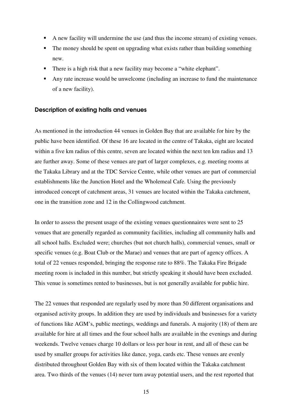- A new facility will undermine the use (and thus the income stream) of existing venues.
- The money should be spent on upgrading what exists rather than building something new.
- There is a high risk that a new facility may become a "white elephant".
- Any rate increase would be unwelcome (including an increase to fund the maintenance of a new facility).

### Description of existing halls and venues

As mentioned in the introduction 44 venues in Golden Bay that are available for hire by the public have been identified. Of these 16 are located in the centre of Takaka, eight are located within a five km radius of this centre, seven are located within the next ten km radius and 13 are further away. Some of these venues are part of larger complexes, e.g. meeting rooms at the Takaka Library and at the TDC Service Centre, while other venues are part of commercial establishments like the Junction Hotel and the Wholemeal Cafe. Using the previously introduced concept of catchment areas, 31 venues are located within the Takaka catchment, one in the transition zone and 12 in the Collingwood catchment.

In order to assess the present usage of the existing venues questionnaires were sent to 25 venues that are generally regarded as community facilities, including all community halls and all school halls. Excluded were; churches (but not church halls), commercial venues, small or specific venues (e.g. Boat Club or the Marae) and venues that are part of agency offices. A total of 22 venues responded, bringing the response rate to 88%. The Takaka Fire Brigade meeting room is included in this number, but strictly speaking it should have been excluded. This venue is sometimes rented to businesses, but is not generally available for public hire.

The 22 venues that responded are regularly used by more than 50 different organisations and organised activity groups. In addition they are used by individuals and businesses for a variety of functions like AGM's, public meetings, weddings and funerals. A majority (18) of them are available for hire at all times and the four school halls are available in the evenings and during weekends. Twelve venues charge 10 dollars or less per hour in rent, and all of these can be used by smaller groups for activities like dance, yoga, cards etc. These venues are evenly distributed throughout Golden Bay with six of them located within the Takaka catchment area. Two thirds of the venues (14) never turn away potential users, and the rest reported that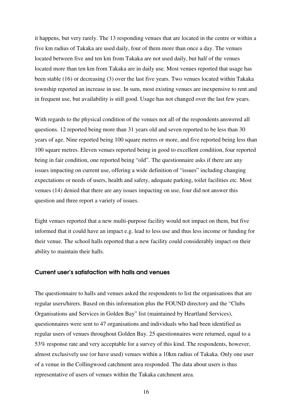it happens, but very rarely. The 13 responding venues that are located in the centre or within a five km radius of Takaka are used daily, four of them more than once a day. The venues located between five and ten km from Takaka are not used daily, but half of the venues located more than ten km from Takaka are in daily use. Most venues reported that usage has been stable (16) or decreasing (3) over the last five years. Two venues located within Takaka township reported an increase in use. In sum, most existing venues are inexpensive to rent and in frequent use, but availability is still good. Usage has not changed over the last few years.

With regards to the physical condition of the venues not all of the respondents answered all questions. 12 reported being more than 31 years old and seven reported to be less than 30 years of age. Nine reported being 100 square metres or more, and five reported being less than 100 square metres. Eleven venues reported being in good to excellent condition, four reported being in fair condition, one reported being "old". The questionnaire asks if there are any issues impacting on current use, offering a wide definition of "issues" including changing expectations or needs of users, health and safety, adequate parking, toilet facilities etc. Most venues (14) denied that there are any issues impacting on use, four did not answer this question and three report a variety of issues.

Eight venues reported that a new multi-purpose facility would not impact on them, but five informed that it could have an impact e.g. lead to less use and thus less income or funding for their venue. The school halls reported that a new facility could considerably impact on their ability to maintain their halls.

### Current user's satisfaction with halls and venues

The questionnaire to halls and venues asked the respondents to list the organisations that are regular users/hirers. Based on this information plus the FOUND directory and the "Clubs Organisations and Services in Golden Bay" list (maintained by Heartland Services), questionnaires were sent to 47 organisations and individuals who had been identified as regular users of venues throughout Golden Bay. 25 questionnaires were returned, equal to a 53% response rate and very acceptable for a survey of this kind. The respondents, however, almost exclusively use (or have used) venues within a 10km radius of Takaka. Only one user of a venue in the Collingwood catchment area responded. The data about users is thus representative of users of venues within the Takaka catchment area.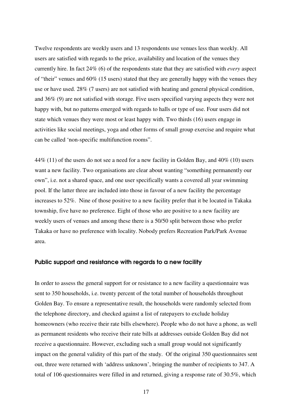Twelve respondents are weekly users and 13 respondents use venues less than weekly. All users are satisfied with regards to the price, availability and location of the venues they currently hire. In fact 24% (6) of the respondents state that they are satisfied with *every* aspect of "their" venues and 60% (15 users) stated that they are generally happy with the venues they use or have used. 28% (7 users) are not satisfied with heating and general physical condition, and 36% (9) are not satisfied with storage. Five users specified varying aspects they were not happy with, but no patterns emerged with regards to halls or type of use. Four users did not state which venues they were most or least happy with. Two thirds (16) users engage in activities like social meetings, yoga and other forms of small group exercise and require what can be called 'non-specific multifunction rooms".

44% (11) of the users do not see a need for a new facility in Golden Bay, and 40% (10) users want a new facility. Two organisations are clear about wanting "something permanently our own", i.e. not a shared space, and one user specifically wants a covered all year swimming pool. If the latter three are included into those in favour of a new facility the percentage increases to 52%. Nine of those positive to a new facility prefer that it be located in Takaka township, five have no preference. Eight of those who are positive to a new facility are weekly users of venues and among these there is a 50/50 split between those who prefer Takaka or have no preference with locality. Nobody prefers Recreation Park/Park Avenue area.

#### Public support and resistance with regards to a new facility

In order to assess the general support for or resistance to a new facility a questionnaire was sent to 350 households, i.e. twenty percent of the total number of households throughout Golden Bay. To ensure a representative result, the households were randomly selected from the telephone directory, and checked against a list of ratepayers to exclude holiday homeowners (who receive their rate bills elsewhere). People who do not have a phone, as well as permanent residents who receive their rate bills at addresses outside Golden Bay did not receive a questionnaire. However, excluding such a small group would not significantly impact on the general validity of this part of the study. Of the original 350 questionnaires sent out, three were returned with 'address unknown', bringing the number of recipients to 347. A total of 106 questionnaires were filled in and returned, giving a response rate of 30.5%, which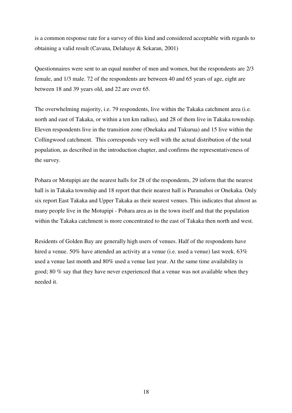is a common response rate for a survey of this kind and considered acceptable with regards to obtaining a valid result (Cavana, Delahaye & Sekaran, 2001)

Questionnaires were sent to an equal number of men and women, but the respondents are 2/3 female, and 1/3 male. 72 of the respondents are between 40 and 65 years of age, eight are between 18 and 39 years old, and 22 are over 65.

The overwhelming majority, i.e. 79 respondents, live within the Takaka catchment area (i.e. north and east of Takaka, or within a ten km radius), and 28 of them live in Takaka township. Eleven respondents live in the transition zone (Onekaka and Tukurua) and 15 live within the Collingwood catchment. This corresponds very well with the actual distribution of the total population, as described in the introduction chapter, and confirms the representativeness of the survey.

Pohara or Motupipi are the nearest halls for 28 of the respondents, 29 inform that the nearest hall is in Takaka township and 18 report that their nearest hall is Puramahoi or Onekaka. Only six report East Takaka and Upper Takaka as their nearest venues. This indicates that almost as many people live in the Motupipi - Pohara area as in the town itself and that the population within the Takaka catchment is more concentrated to the east of Takaka then north and west.

Residents of Golden Bay are generally high users of venues. Half of the respondents have hired a venue. 50% have attended an activity at a venue (i.e. used a venue) last week. 63% used a venue last month and 80% used a venue last year. At the same time availability is good; 80 % say that they have never experienced that a venue was not available when they needed it.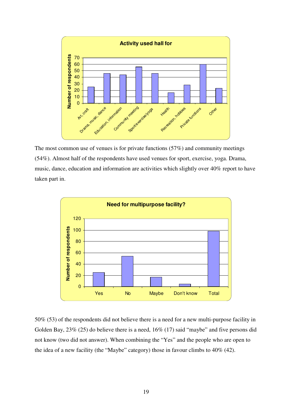

The most common use of venues is for private functions (57%) and community meetings (54%). Almost half of the respondents have used venues for sport, exercise, yoga. Drama, music, dance, education and information are activities which slightly over 40% report to have taken part in.



50% (53) of the respondents did not believe there is a need for a new multi-purpose facility in Golden Bay, 23% (25) do believe there is a need, 16% (17) said "maybe" and five persons did not know (two did not answer). When combining the "Yes" and the people who are open to the idea of a new facility (the "Maybe" category) those in favour climbs to 40% (42).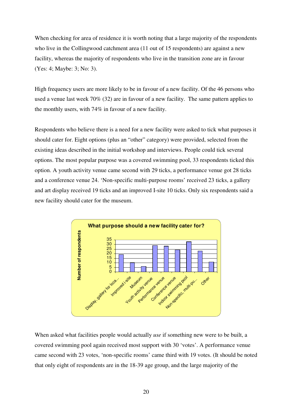When checking for area of residence it is worth noting that a large majority of the respondents who live in the Collingwood catchment area (11 out of 15 respondents) are against a new facility, whereas the majority of respondents who live in the transition zone are in favour (Yes: 4; Maybe: 3; No: 3).

High frequency users are more likely to be in favour of a new facility. Of the 46 persons who used a venue last week 70% (32) are in favour of a new facility. The same pattern applies to the monthly users, with 74% in favour of a new facility.

Respondents who believe there is a need for a new facility were asked to tick what purposes it should cater for. Eight options (plus an "other" category) were provided, selected from the existing ideas described in the initial workshop and interviews. People could tick several options. The most popular purpose was a covered swimming pool, 33 respondents ticked this option. A youth activity venue came second with 29 ticks, a performance venue got 28 ticks and a conference venue 24. 'Non-specific multi-purpose rooms' received 23 ticks, a gallery and art display received 19 ticks and an improved I-site 10 ticks. Only six respondents said a new facility should cater for the museum.



When asked what facilities people would actually *use* if something new were to be built, a covered swimming pool again received most support with 30 'votes'. A performance venue came second with 23 votes, 'non-specific rooms' came third with 19 votes. (It should be noted that only eight of respondents are in the 18-39 age group, and the large majority of the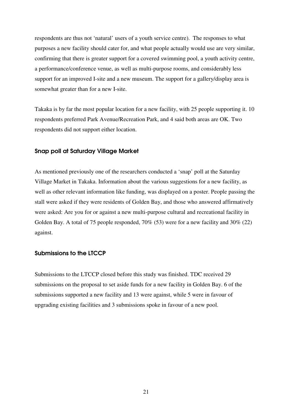respondents are thus not 'natural' users of a youth service centre). The responses to what purposes a new facility should cater for, and what people actually would use are very similar, confirming that there is greater support for a covered swimming pool, a youth activity centre, a performance/conference venue, as well as multi-purpose rooms, and considerably less support for an improved I-site and a new museum. The support for a gallery/display area is somewhat greater than for a new I-site.

Takaka is by far the most popular location for a new facility, with 25 people supporting it. 10 respondents preferred Park Avenue/Recreation Park, and 4 said both areas are OK. Two respondents did not support either location.

### Snap poll at Saturday Village Market

As mentioned previously one of the researchers conducted a 'snap' poll at the Saturday Village Market in Takaka. Information about the various suggestions for a new facility, as well as other relevant information like funding, was displayed on a poster. People passing the stall were asked if they were residents of Golden Bay, and those who answered affirmatively were asked: Are you for or against a new multi-purpose cultural and recreational facility in Golden Bay. A total of 75 people responded, 70% (53) were for a new facility and 30% (22) against.

#### Submissions to the LTCCP

Submissions to the LTCCP closed before this study was finished. TDC received 29 submissions on the proposal to set aside funds for a new facility in Golden Bay. 6 of the submissions supported a new facility and 13 were against, while 5 were in favour of upgrading existing facilities and 3 submissions spoke in favour of a new pool.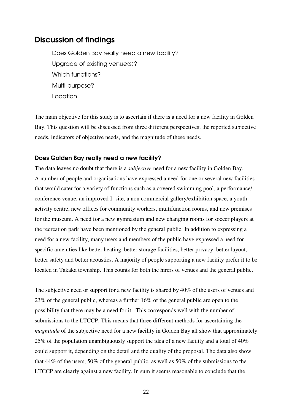### Discussion of findings

Does Golden Bay really need a new facility? Upgrade of existing venue(s)? Which functions? Multi-purpose? Location

The main objective for this study is to ascertain if there is a need for a new facility in Golden Bay. This question will be discussed from three different perspectives; the reported subjective needs, indicators of objective needs, and the magnitude of these needs.

### Does Golden Bay really need a new facility?

The data leaves no doubt that there is a *subjective* need for a new facility in Golden Bay. A number of people and organisations have expressed a need for one or several new facilities that would cater for a variety of functions such as a covered swimming pool, a performance/ conference venue, an improved I- site, a non commercial gallery/exhibition space, a youth activity centre, new offices for community workers, multifunction rooms, and new premises for the museum. A need for a new gymnasium and new changing rooms for soccer players at the recreation park have been mentioned by the general public. In addition to expressing a need for a new facility, many users and members of the public have expressed a need for specific amenities like better heating, better storage facilities, better privacy, better layout, better safety and better acoustics. A majority of people supporting a new facility prefer it to be located in Takaka township. This counts for both the hirers of venues and the general public.

The subjective need or support for a new facility is shared by 40% of the users of venues and 23% of the general public, whereas a further 16% of the general public are open to the possibility that there may be a need for it. This corresponds well with the number of submissions to the LTCCP. This means that three different methods for ascertaining the *magnitude* of the subjective need for a new facility in Golden Bay all show that approximately 25% of the population unambiguously support the idea of a new facility and a total of 40% could support it, depending on the detail and the quality of the proposal. The data also show that 44% of the users, 50% of the general public, as well as 50% of the submissions to the LTCCP are clearly against a new facility. In sum it seems reasonable to conclude that the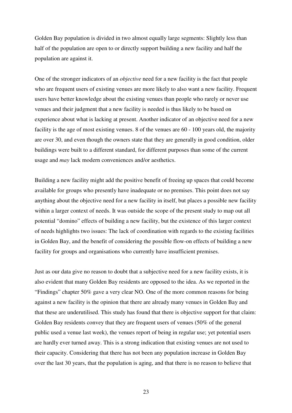Golden Bay population is divided in two almost equally large segments: Slightly less than half of the population are open to or directly support building a new facility and half the population are against it.

One of the stronger indicators of an *objective* need for a new facility is the fact that people who are frequent users of existing venues are more likely to also want a new facility. Frequent users have better knowledge about the existing venues than people who rarely or never use venues and their judgment that a new facility is needed is thus likely to be based on experience about what is lacking at present. Another indicator of an objective need for a new facility is the age of most existing venues. 8 of the venues are 60 - 100 years old, the majority are over 30, and even though the owners state that they are generally in good condition, older buildings were built to a different standard, for different purposes than some of the current usage and *may* lack modern conveniences and/or aesthetics.

Building a new facility might add the positive benefit of freeing up spaces that could become available for groups who presently have inadequate or no premises. This point does not say anything about the objective need for a new facility in itself, but places a possible new facility within a larger context of needs. It was outside the scope of the present study to map out all potential "domino" effects of building a new facility, but the existence of this larger context of needs highlights two issues: The lack of coordination with regards to the existing facilities in Golden Bay, and the benefit of considering the possible flow-on effects of building a new facility for groups and organisations who currently have insufficient premises.

Just as our data give no reason to doubt that a subjective need for a new facility exists, it is also evident that many Golden Bay residents are opposed to the idea. As we reported in the "Findings" chapter 50% gave a very clear NO. One of the more common reasons for being against a new facility is the opinion that there are already many venues in Golden Bay and that these are underutilised. This study has found that there is objective support for that claim: Golden Bay residents convey that they are frequent users of venues (50% of the general public used a venue last week), the venues report of being in regular use; yet potential users are hardly ever turned away. This is a strong indication that existing venues are not used to their capacity. Considering that there has not been any population increase in Golden Bay over the last 30 years, that the population is aging, and that there is no reason to believe that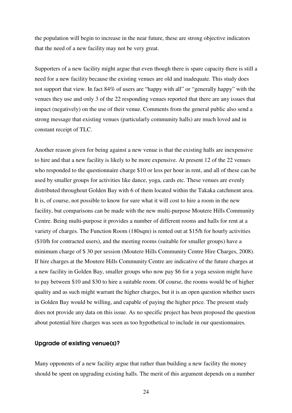the population will begin to increase in the near future, these are strong objective indicators that the need of a new facility may not be very great.

Supporters of a new facility might argue that even though there is spare capacity there is still a need for a new facility because the existing venues are old and inadequate. This study does not support that view. In fact 84% of users are "happy with all" or "generally happy" with the venues they use and only 3 of the 22 responding venues reported that there are any issues that impact (negatively) on the use of their venue. Comments from the general public also send a strong message that existing venues (particularly community halls) are much loved and in constant receipt of TLC.

Another reason given for being against a new venue is that the existing halls are inexpensive to hire and that a new facility is likely to be more expensive. At present 12 of the 22 venues who responded to the questionnaire charge \$10 or less per hour in rent, and all of these can be used by smaller groups for activities like dance, yoga, cards etc. These venues are evenly distributed throughout Golden Bay with 6 of them located within the Takaka catchment area. It is, of course, not possible to know for sure what it will cost to hire a room in the new facility, but comparisons can be made with the new multi-purpose Moutere Hills Community Centre. Being multi-purpose it provides a number of different rooms and halls for rent at a variety of charges. The Function Room (180sqm) is rented out at \$15/h for hourly activities (\$10/h for contracted users), and the meeting rooms (suitable for smaller groups) have a minimum charge of \$ 30 per session (Moutere Hills Community Centre Hire Charges, 2008). If hire charges at the Moutere Hills Community Centre are indicative of the future charges at a new facility in Golden Bay, smaller groups who now pay \$6 for a yoga session might have to pay between \$10 and \$30 to hire a suitable room. Of course, the rooms would be of higher quality and as such might warrant the higher charges, but it is an open question whether users in Golden Bay would be willing, and capable of paying the higher price. The present study does not provide any data on this issue. As no specific project has been proposed the question about potential hire charges was seen as too hypothetical to include in our questionnaires.

### Upgrade of existing venue(s)?

Many opponents of a new facility argue that rather than building a new facility the money should be spent on upgrading existing halls. The merit of this argument depends on a number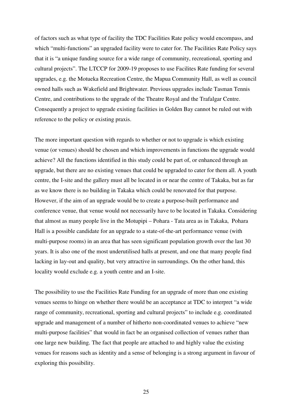of factors such as what type of facility the TDC Facilities Rate policy would encompass, and which "multi-functions" an upgraded facility were to cater for. The Facilities Rate Policy says that it is "a unique funding source for a wide range of community, recreational, sporting and cultural projects". The LTCCP for 2009-19 proposes to use Facilites Rate funding for several upgrades, e.g. the Motueka Recreation Centre, the Mapua Community Hall, as well as council owned halls such as Wakefield and Brightwater. Previous upgrades include Tasman Tennis Centre, and contributions to the upgrade of the Theatre Royal and the Trafalgar Centre. Consequently a project to upgrade existing facilities in Golden Bay cannot be ruled out with reference to the policy or existing praxis.

The more important question with regards to whether or not to upgrade is which existing venue (or venues) should be chosen and which improvements in functions the upgrade would achieve? All the functions identified in this study could be part of, or enhanced through an upgrade, but there are no existing venues that could be upgraded to cater for them all. A youth centre, the I-site and the gallery must all be located in or near the centre of Takaka, but as far as we know there is no building in Takaka which could be renovated for that purpose. However, if the aim of an upgrade would be to create a purpose-built performance and conference venue, that venue would not necessarily have to be located in Takaka. Considering that almost as many people live in the Motupipi – Pohara - Tata area as in Takaka, Pohara Hall is a possible candidate for an upgrade to a state-of-the-art performance venue (with multi-purpose rooms) in an area that has seen significant population growth over the last 30 years. It is also one of the most underutilised halls at present, and one that many people find lacking in lay-out and quality, but very attractive in surroundings. On the other hand, this locality would exclude e.g. a youth centre and an I-site.

The possibility to use the Facilities Rate Funding for an upgrade of more than one existing venues seems to hinge on whether there would be an acceptance at TDC to interpret "a wide range of community, recreational, sporting and cultural projects" to include e.g. coordinated upgrade and management of a number of hitherto non-coordinated venues to achieve "new multi-purpose facilities" that would in fact be an organised collection of venues rather than one large new building. The fact that people are attached to and highly value the existing venues for reasons such as identity and a sense of belonging is a strong argument in favour of exploring this possibility.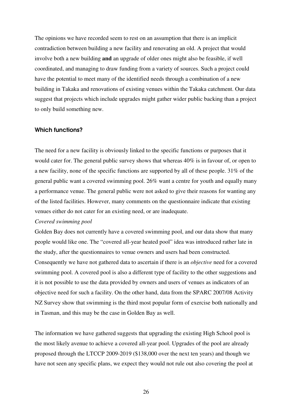The opinions we have recorded seem to rest on an assumption that there is an implicit contradiction between building a new facility and renovating an old. A project that would involve both a new building **and** an upgrade of older ones might also be feasible, if well coordinated, and managing to draw funding from a variety of sources. Such a project could have the potential to meet many of the identified needs through a combination of a new building in Takaka and renovations of existing venues within the Takaka catchment. Our data suggest that projects which include upgrades might gather wider public backing than a project to only build something new.

#### Which functions?

The need for a new facility is obviously linked to the specific functions or purposes that it would cater for. The general public survey shows that whereas 40% is in favour of, or open to a new facility, none of the specific functions are supported by all of these people. 31% of the general public want a covered swimming pool. 26% want a centre for youth and equally many a performance venue. The general public were not asked to give their reasons for wanting any of the listed facilities. However, many comments on the questionnaire indicate that existing venues either do not cater for an existing need, or are inadequate.

#### *Covered swimming pool*

Golden Bay does not currently have a covered swimming pool, and our data show that many people would like one. The "covered all-year heated pool" idea was introduced rather late in the study, after the questionnaires to venue owners and users had been constructed. Consequently we have not gathered data to ascertain if there is an *objective* need for a covered swimming pool. A covered pool is also a different type of facility to the other suggestions and it is not possible to use the data provided by owners and users of venues as indicators of an objective need for such a facility. On the other hand, data from the SPARC 2007/08 Activity NZ Survey show that swimming is the third most popular form of exercise both nationally and in Tasman, and this may be the case in Golden Bay as well.

The information we have gathered suggests that upgrading the existing High School pool is the most likely avenue to achieve a covered all-year pool. Upgrades of the pool are already proposed through the LTCCP 2009-2019 (\$138,000 over the next ten years) and though we have not seen any specific plans, we expect they would not rule out also covering the pool at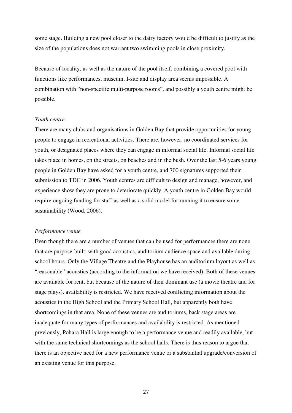some stage. Building a new pool closer to the dairy factory would be difficult to justify as the size of the populations does not warrant two swimming pools in close proximity.

Because of locality, as well as the nature of the pool itself, combining a covered pool with functions like performances, museum, I-site and display area seems impossible. A combination with "non-specific multi-purpose rooms", and possibly a youth centre might be possible.

#### *Youth centre*

There are many clubs and organisations in Golden Bay that provide opportunities for young people to engage in recreational activities. There are, however, no coordinated services for youth, or designated places where they can engage in informal social life. Informal social life takes place in homes, on the streets, on beaches and in the bush. Over the last 5-6 years young people in Golden Bay have asked for a youth centre, and 700 signatures supported their submission to TDC in 2006. Youth centres are difficult to design and manage, however, and experience show they are prone to deteriorate quickly. A youth centre in Golden Bay would require ongoing funding for staff as well as a solid model for running it to ensure some sustainability (Wood, 2006).

#### *Performance venue*

Even though there are a number of venues that can be used for performances there are none that are purpose-built, with good acoustics, auditorium audience space and available during school hours. Only the Village Theatre and the Playhouse has an auditorium layout as well as "reasonable" acoustics (according to the information we have received). Both of these venues are available for rent, but because of the nature of their dominant use (a movie theatre and for stage plays), availability is restricted. We have received conflicting information about the acoustics in the High School and the Primary School Hall, but apparently both have shortcomings in that area. None of these venues are auditoriums, back stage areas are inadequate for many types of performances and availability is restricted. As mentioned previously, Pohara Hall is large enough to be a performance venue and readily available, but with the same technical shortcomings as the school halls. There is thus reason to argue that there is an objective need for a new performance venue or a substantial upgrade/conversion of an existing venue for this purpose.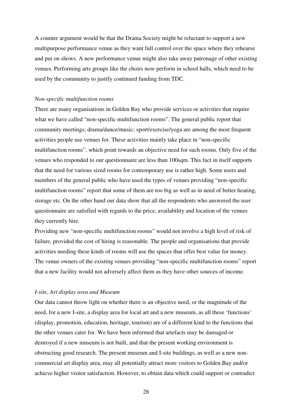A counter argument would be that the Drama Society might be reluctant to support a new multipurpose performance venue as they want full control over the space where they rehearse and put on shows. A new performance venue might also take away patronage of other existing venues. Performing arts groups like the choirs now perform in school halls, which need to be used by the community to justify continued funding from TDC.

#### *Non-specific multifunction rooms*

There are many organisations in Golden Bay who provide services or activities that require what we have called "non-specific multifunction rooms". The general public report that community meetings; drama/dance/music; sport/exercise/yoga are among the most frequent activities people use venues for. These activities mainly take place in "non-specific multifunction rooms", which point towards an objective need for such rooms. Only five of the venues who responded to our questionnaire are less than 100sqm. This fact in itself supports that the need for various sized rooms for contemporary use is rather high. Some users and members of the general public who have used the types of venues providing "non-specific multifunction rooms" report that some of them are too big as well as in need of better heating, storage etc. On the other hand our data show that all the respondents who answered the user questionnaire are satisfied with regards to the price, availability and location of the venues they currently hire.

Providing new "non-specific multifunction rooms" would not involve a high level of risk of failure, provided the cost of hiring is reasonable. The people and organisations that provide activities needing these kinds of rooms will use the spaces that offer best value for money. The venue owners of the existing venues providing "non-specific multifunction rooms" report that a new facility would not adversely affect them as they have other sources of income.

#### *I-site, Art display area and Museum*

Our data cannot throw light on whether there is an objective need, or the magnitude of the need, for a new I-site, a display area for local art and a new museum, as all these 'functions' (display, promotion, education, heritage, tourism) are of a different kind to the functions that the other venues cater for. We have been informed that artefacts may be damaged or destroyed if a new museum is not built, and that the present working environment is obstructing good research. The present museum and I-site buildings, as well as a new noncommercial art display area, may all potentially attract more visitors to Golden Bay and/or achieve higher visitor satisfaction. However, to obtain data which could support or contradict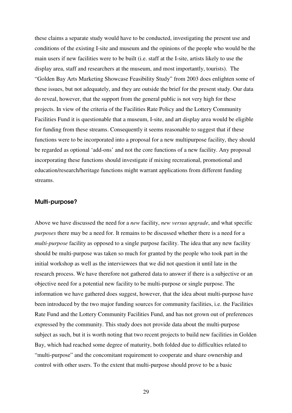these claims a separate study would have to be conducted, investigating the present use and conditions of the existing I-site and museum and the opinions of the people who would be the main users if new facilities were to be built (i.e. staff at the I-site, artists likely to use the display area, staff and researchers at the museum, and most importantly, tourists). The "Golden Bay Arts Marketing Showcase Feasibility Study" from 2003 does enlighten some of these issues, but not adequately, and they are outside the brief for the present study. Our data do reveal, however, that the support from the general public is not very high for these projects. In view of the criteria of the Facilities Rate Policy and the Lottery Community Facilities Fund it is questionable that a museum, I-site, and art display area would be eligible for funding from these streams. Consequently it seems reasonable to suggest that if these functions were to be incorporated into a proposal for a new multipurpose facility, they should be regarded as optional 'add-ons' and not the core functions of a new facility. Any proposal incorporating these functions should investigate if mixing recreational, promotional and education/research/heritage functions might warrant applications from different funding streams.

### Multi-purpose?

Above we have discussed the need for a *new* facility, *new versus upgrade*, and what specific *purposes* there may be a need for. It remains to be discussed whether there is a need for a *multi-purpose* facility as opposed to a single purpose facility. The idea that any new facility should be multi-purpose was taken so much for granted by the people who took part in the initial workshop as well as the interviewees that we did not question it until late in the research process. We have therefore not gathered data to answer if there is a subjective or an objective need for a potential new facility to be multi-purpose or single purpose. The information we have gathered does suggest, however, that the idea about multi-purpose have been introduced by the two major funding sources for community facilities, i.e. the Facilities Rate Fund and the Lottery Community Facilities Fund, and has not grown out of preferences expressed by the community. This study does not provide data about the multi-purpose subject as such, but it is worth noting that two recent projects to build new facilities in Golden Bay, which had reached some degree of maturity, both folded due to difficulties related to "multi-purpose" and the concomitant requirement to cooperate and share ownership and control with other users. To the extent that multi-purpose should prove to be a basic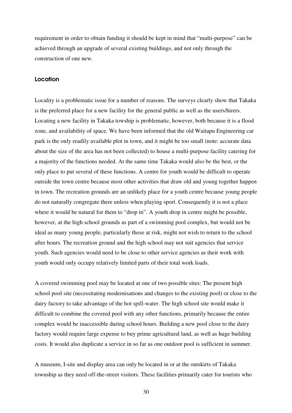requirement in order to obtain funding it should be kept in mind that "multi-purpose" can be achieved through an upgrade of several existing buildings, and not only through the construction of one new.

### **Location**

Locality is a problematic issue for a number of reasons. The surveys clearly show that Takaka is the preferred place for a new facility for the general public as well as the users/hirers. Locating a new facility in Takaka towship is problematic, however, both because it is a flood zone, and availability of space. We have been informed that the old Waitapu Engineering car park is the only readily available plot in town, and it might be too small (note: accurate data about the size of the area has not been collected) to house a multi-purpose facility catering for a majority of the functions needed. At the same time Takaka would also be the best, or the only place to put several of these functions. A centre for youth would be difficult to operate outside the town centre because most other activities that draw old and young together happen in town. The recreation grounds are an unlikely place for a youth centre because young people do not naturally congregate there unless when playing sport. Consequently it is not a place where it would be natural for them to "drop in". A youth drop in centre might be possible, however, at the high school grounds as part of a swimming pool complex, but would not be ideal as many young people, particularly those at risk, might not wish to return to the school after hours. The recreation ground and the high school may not suit agencies that service youth. Such agencies would need to be close to other service agencies as their work with youth would only occupy relatively limited parts of their total work loads.

A covered swimming pool may be located at one of two possible sites: The present high school pool site (necessitating modernisations and changes to the existing pool) or close to the dairy factory to take advantage of the hot spill-water. The high school site would make it difficult to combine the covered pool with any other functions, primarily because the entire complex would be inaccessible during school hours. Building a new pool close to the dairy factory would require large expense to buy prime agricultural land, as well as huge building costs. It would also duplicate a service in so far as one outdoor pool is sufficient in summer.

A museum, I-site and display area can only be located in or at the outskirts of Takaka township as they need off-the-street visitors. These facilities primarily cater for tourists who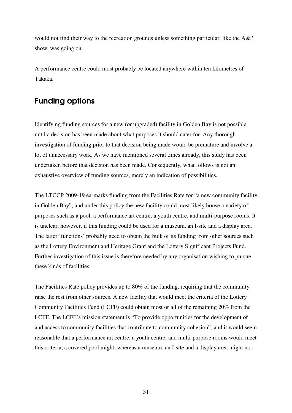would not find their way to the recreation grounds unless something particular, like the A&P show, was going on.

A performance centre could most probably be located anywhere within ten kilometres of Takaka.

### Funding options

Identifying funding sources for a new (or upgraded) facility in Golden Bay is not possible until a decision has been made about what purposes it should cater for. Any thorough investigation of funding prior to that decision being made would be premature and involve a lot of unnecessary work. As we have mentioned several times already, this study has been undertaken before that decision has been made. Consequently, what follows is not an exhaustive overview of funding sources, merely an indication of possibilities.

The LTCCP 2009-19 earmarks funding from the Facilities Rate for "a new community facility in Golden Bay", and under this policy the new facility could most likely house a variety of purposes such as a pool, a performance art centre, a youth centre, and multi-purpose rooms. It is unclear, however, if this funding could be used for a museum, an I-site and a display area. The latter 'functions' probably need to obtain the bulk of its funding from other sources such as the Lottery Environment and Heritage Grant and the Lottery Significant Projects Fund. Further investigation of this issue is therefore needed by any organisation wishing to pursue these kinds of facilities.

The Facilities Rate policy provides up to 80% of the funding, requiring that the community raise the rest from other sources. A new facility that would meet the criteria of the Lottery Community Facilities Fund (LCFF) could obtain most or all of the remaining 20% from the LCFF. The LCFF's mission statement is "To provide opportunities for the development of and access to community facilities that contribute to community cohesion", and it would seem reasonable that a performance art centre, a youth centre, and multi-purpose rooms would meet this criteria, a covered pool might, whereas a museum, an I-site and a display area might not.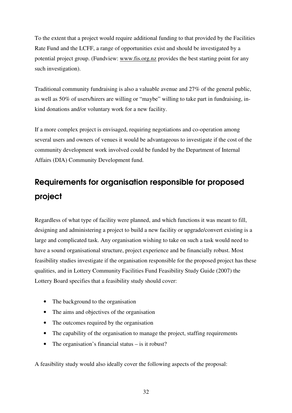To the extent that a project would require additional funding to that provided by the Facilities Rate Fund and the LCFF, a range of opportunities exist and should be investigated by a potential project group. (Fundview: www.fis.org.nz provides the best starting point for any such investigation).

Traditional community fundraising is also a valuable avenue and 27% of the general public, as well as 50% of users/hirers are willing or "maybe" willing to take part in fundraising, inkind donations and/or voluntary work for a new facility.

If a more complex project is envisaged, requiring negotiations and co-operation among several users and owners of venues it would be advantageous to investigate if the cost of the community development work involved could be funded by the Department of Internal Affairs (DIA) Community Development fund.

## Requirements for organisation responsible for proposed project

Regardless of what type of facility were planned, and which functions it was meant to fill, designing and administering a project to build a new facility or upgrade/convert existing is a large and complicated task. Any organisation wishing to take on such a task would need to have a sound organisational structure, project experience and be financially robust. Most feasibility studies investigate if the organisation responsible for the proposed project has these qualities, and in Lottery Community Facilities Fund Feasibility Study Guide (2007) the Lottery Board specifies that a feasibility study should cover:

- The background to the organisation
- The aims and objectives of the organisation
- The outcomes required by the organisation
- The capability of the organisation to manage the project, staffing requirements
- The organisation's financial status is it robust?

A feasibility study would also ideally cover the following aspects of the proposal: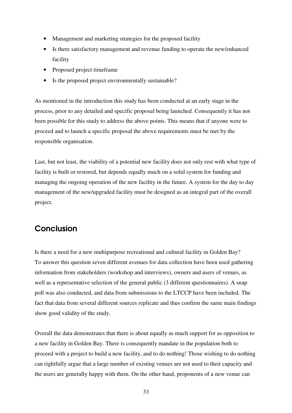- Management and marketing strategies for the proposed facility
- Is there satisfactory management and revenue funding to operate the new/enhanced facility
- Proposed project timeframe
- Is the proposed project environmentally sustainable?

As mentioned in the introduction this study has been conducted at an early stage in the process, prior to any detailed and specific proposal being launched. Consequently it has not been possible for this study to address the above points. This means that if anyone were to proceed and to launch a specific proposal the above requirements must be met by the responsible organisation.

Last, but not least, the viability of a potential new facility does not only rest with what type of facility is built or restored, but depends equally much on a solid system for funding and managing the ongoing operation of the new facility in the future. A system for the day to day management of the new/upgraded facility must be designed as an integral part of the overall project.

### Conclusion

Is there a need for a new multipurpose recreational and cultural facility in Golden Bay? To answer this question seven different avenues for data collection have been used gathering information from stakeholders (workshop and interviews), owners and users of venues, as well as a representative selection of the general public (3 different questionnaires). A snap poll was also conducted, and data from submissions to the LTCCP have been included. The fact that data from several different sources replicate and thus confirm the same main findings show good validity of the study.

Overall the data demonstrates that there is about equally as much support for as opposition to a new facility in Golden Bay. There is consequently mandate in the population both to proceed with a project to build a new facility, and to do nothing! Those wishing to do nothing can rightfully argue that a large number of existing venues are not used to their capacity and the users are generally happy with them. On the other hand, proponents of a new venue can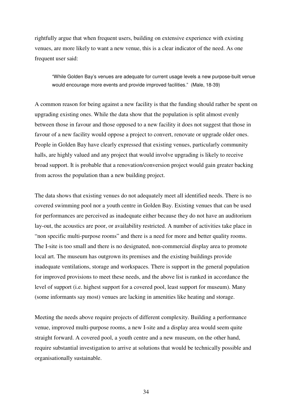rightfully argue that when frequent users, building on extensive experience with existing venues, are more likely to want a new venue, this is a clear indicator of the need. As one frequent user said:

"While Golden Bay's venues are adequate for current usage levels a new purpose-built venue would encourage more events and provide improved facilities." (Male, 18-39)

A common reason for being against a new facility is that the funding should rather be spent on upgrading existing ones. While the data show that the population is split almost evenly between those in favour and those opposed to a new facility it does not suggest that those in favour of a new facility would oppose a project to convert, renovate or upgrade older ones. People in Golden Bay have clearly expressed that existing venues, particularly community halls, are highly valued and any project that would involve upgrading is likely to receive broad support. It is probable that a renovation/conversion project would gain greater backing from across the population than a new building project.

The data shows that existing venues do not adequately meet all identified needs. There is no covered swimming pool nor a youth centre in Golden Bay. Existing venues that can be used for performances are perceived as inadequate either because they do not have an auditorium lay-out, the acoustics are poor, or availability restricted. A number of activities take place in "non specific multi-purpose rooms" and there is a need for more and better quality rooms. The I-site is too small and there is no designated, non-commercial display area to promote local art. The museum has outgrown its premises and the existing buildings provide inadequate ventilations, storage and workspaces. There is support in the general population for improved provisions to meet these needs, and the above list is ranked in accordance the level of support (i.e. highest support for a covered pool, least support for museum). Many (some informants say most) venues are lacking in amenities like heating and storage.

Meeting the needs above require projects of different complexity. Building a performance venue, improved multi-purpose rooms, a new I-site and a display area would seem quite straight forward. A covered pool, a youth centre and a new museum, on the other hand, require substantial investigation to arrive at solutions that would be technically possible and organisationally sustainable.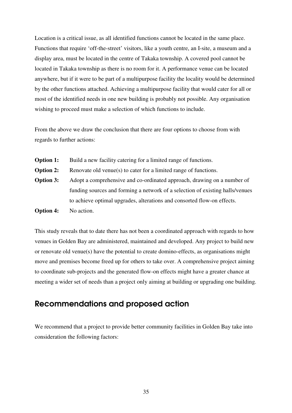Location is a critical issue, as all identified functions cannot be located in the same place. Functions that require 'off-the-street' visitors, like a youth centre, an I-site, a museum and a display area, must be located in the centre of Takaka township. A covered pool cannot be located in Takaka township as there is no room for it. A performance venue can be located anywhere, but if it were to be part of a multipurpose facility the locality would be determined by the other functions attached. Achieving a multipurpose facility that would cater for all or most of the identified needs in one new building is probably not possible. Any organisation wishing to proceed must make a selection of which functions to include.

From the above we draw the conclusion that there are four options to choose from with regards to further actions:

- **Option 1:** Build a new facility catering for a limited range of functions.
- **Option 2:** Renovate old venue(s) to cater for a limited range of functions.
- **Option 3:** Adopt a comprehensive and co-ordinated approach, drawing on a number of funding sources and forming a network of a selection of existing halls/venues to achieve optimal upgrades, alterations and consorted flow-on effects.

**Option 4:** No action.

This study reveals that to date there has not been a coordinated approach with regards to how venues in Golden Bay are administered, maintained and developed. Any project to build new or renovate old venue(s) have the potential to create domino-effects, as organisations might move and premises become freed up for others to take over. A comprehensive project aiming to coordinate sub-projects and the generated flow-on effects might have a greater chance at meeting a wider set of needs than a project only aiming at building or upgrading one building.

### Recommendations and proposed action

We recommend that a project to provide better community facilities in Golden Bay take into consideration the following factors: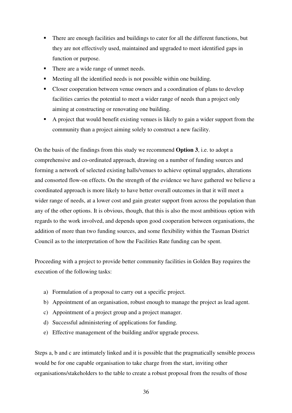- There are enough facilities and buildings to cater for all the different functions, but they are not effectively used, maintained and upgraded to meet identified gaps in function or purpose.
- There are a wide range of unmet needs.
- Meeting all the identified needs is not possible within one building.
- Closer cooperation between venue owners and a coordination of plans to develop facilities carries the potential to meet a wider range of needs than a project only aiming at constructing or renovating one building.
- A project that would benefit existing venues is likely to gain a wider support from the community than a project aiming solely to construct a new facility.

On the basis of the findings from this study we recommend **Option 3**, i.e. to adopt a comprehensive and co-ordinated approach, drawing on a number of funding sources and forming a network of selected existing halls/venues to achieve optimal upgrades, alterations and consorted flow-on effects. On the strength of the evidence we have gathered we believe a coordinated approach is more likely to have better overall outcomes in that it will meet a wider range of needs, at a lower cost and gain greater support from across the population than any of the other options. It is obvious, though, that this is also the most ambitious option with regards to the work involved, and depends upon good cooperation between organisations, the addition of more than two funding sources, and some flexibility within the Tasman District Council as to the interpretation of how the Facilities Rate funding can be spent.

Proceeding with a project to provide better community facilities in Golden Bay requires the execution of the following tasks:

- a) Formulation of a proposal to carry out a specific project.
- b) Appointment of an organisation, robust enough to manage the project as lead agent.
- c) Appointment of a project group and a project manager.
- d) Successful administering of applications for funding.
- e) Effective management of the building and/or upgrade process.

Steps a, b and c are intimately linked and it is possible that the pragmatically sensible process would be for one capable organisation to take charge from the start, inviting other organisations/stakeholders to the table to create a robust proposal from the results of those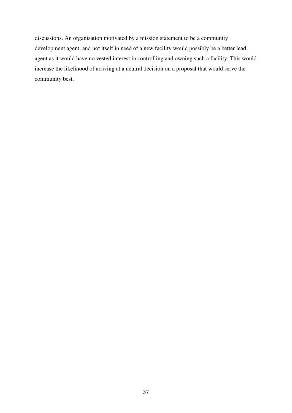discussions. An organisation motivated by a mission statement to be a community development agent, and not itself in need of a new facility would possibly be a better lead agent as it would have no vested interest in controlling and owning such a facility. This would increase the likelihood of arriving at a neutral decision on a proposal that would serve the community best.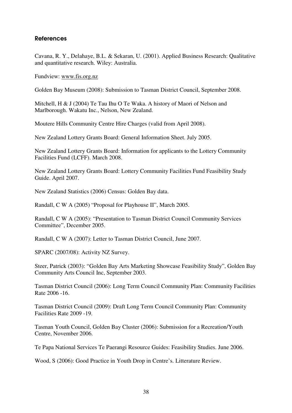### References

Cavana, R. Y., Delahaye, B.L. & Sekaran, U. (2001). Applied Business Research: Qualitative and quantitative research. Wiley: Australia.

Fundview: www.fis.org.nz

Golden Bay Museum (2008): Submission to Tasman District Council, September 2008.

Mitchell, H & J (2004) Te Tau Ihu O Te Waka. A history of Maori of Nelson and Marlborough. Wakatu Inc., Nelson, New Zealand.

Moutere Hills Community Centre Hire Charges (valid from April 2008).

New Zealand Lottery Grants Board: General Information Sheet. July 2005.

New Zealand Lottery Grants Board: Information for applicants to the Lottery Community Facilities Fund (LCFF). March 2008.

New Zealand Lottery Grants Board: Lottery Community Facilities Fund Feasibility Study Guide. April 2007.

New Zealand Statistics (2006) Census: Golden Bay data.

Randall, C W A (2005) "Proposal for Playhouse II", March 2005.

Randall, C W A (2005): "Presentation to Tasman District Council Community Services Committee", December 2005.

Randall, C W A (2007): Letter to Tasman District Council, June 2007.

SPARC (2007/08): Activity NZ Survey.

Steer, Patrick (2003): "Golden Bay Arts Marketing Showcase Feasibility Study", Golden Bay Community Arts Council Inc, September 2003.

Tasman District Council (2006): Long Term Council Community Plan: Community Facilities Rate 2006 -16.

Tasman District Council (2009): Draft Long Term Council Community Plan: Community Facilities Rate 2009 -19.

Tasman Youth Council, Golden Bay Cluster (2006): Submission for a Recreation/Youth Centre, November 2006.

Te Papa National Services Te Paerangi Resource Guides: Feasibility Studies. June 2006.

Wood, S (2006): Good Practice in Youth Drop in Centre's. Litterature Review.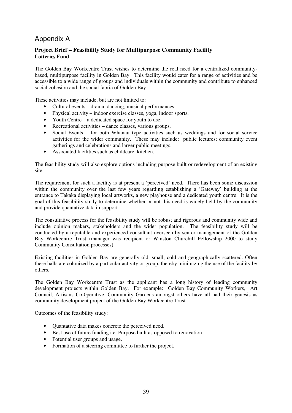### Appendix A

### **Project Brief – Feasibility Study for Multipurpose Community Facility Lotteries Fund**

The Golden Bay Workcentre Trust wishes to determine the real need for a centralized communitybased, multipurpose facility in Golden Bay. This facility would cater for a range of activities and be accessible to a wide range of groups and individuals within the community and contribute to enhanced social cohesion and the social fabric of Golden Bay.

These activities may include, but are not limited to:

- Cultural events drama, dancing, musical performances.
- Physical activity indoor exercise classes, yoga, indoor sports.
- Youth Centre a dedicated space for youth to use.
- Recreational activities dance classes, various groups.
- Social Events for both Whanau type activities such as weddings and for social service activities for the wider community. These may include: public lectures; community event gatherings and celebrations and larger public meetings.
- Associated facilities such as childcare, kitchen.

The feasibility study will also explore options including purpose built or redevelopment of an existing site.

The requirement for such a facility is at present a 'perceived' need. There has been some discussion within the community over the last few years regarding establishing a 'Gateway' building at the entrance to Takaka displaying local artworks, a new playhouse and a dedicated youth centre. It is the goal of this feasibility study to determine whether or not this need is widely held by the community and provide quantative data in support.

The consultative process for the feasibility study will be robust and rigorous and community wide and include opinion makers, stakeholders and the wider population. The feasibility study will be conducted by a reputable and experienced consultant overseen by senior management of the Golden Bay Workcentre Trust (manager was recipient or Winston Churchill Fellowship 2000 to study Community Consultation processes).

Existing facilities in Golden Bay are generally old, small, cold and geographically scattered. Often these halls are colonized by a particular activity or group, thereby minimizing the use of the facility by others.

The Golden Bay Workcentre Trust as the applicant has a long history of leading community development projects within Golden Bay. For example: Golden Bay Community Workers, Art Council, Artisans Co-0perative, Community Gardens amongst others have all had their genesis as community development project of the Golden Bay Workcentre Trust.

Outcomes of the feasibility study:

- Quantative data makes concrete the perceived need.
- Best use of future funding i.e. Purpose built as opposed to renovation.
- Potential user groups and usage.
- Formation of a steering committee to further the project.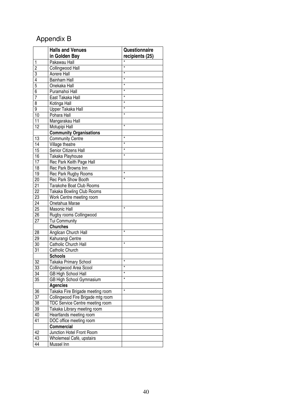### Appendix B

|                 | <b>Halls and Venues</b>           | Questionnaire   |
|-----------------|-----------------------------------|-----------------|
|                 | in Golden Bay                     | recipients (25) |
| 1               | Pakawau Hall                      |                 |
| $\overline{2}$  | Collingwood Hall                  | $\star$         |
| $\overline{3}$  | Aorere Hall                       | $\star$         |
| $\overline{4}$  | <b>Bainham Hall</b>               | $\star$         |
| $\overline{5}$  | Onekaka Hall                      | $^\star$        |
| $\overline{6}$  | Puramahoi Hall                    | $^\star$        |
| $\overline{7}$  | East Takaka Hall                  | $^\star$        |
| $\overline{8}$  | Kotinga Hall                      | $^\star$        |
| 9               | Upper Takaka Hall                 | $^\star$        |
| 10              | Pohara Hall                       | $^\star$        |
| 11              | Mangarakau Hall                   |                 |
| 12              | Motupipi Hall                     | $\star$         |
|                 | <b>Community Organisations</b>    |                 |
| 13              | <b>Community Centre</b>           | $^\star$        |
| 14              | Village theatre                   | $^\star$        |
| $\overline{15}$ | Senior Citizens Hall              | $^\star$        |
| 16              | Takaka Playhouse                  | $\star$         |
| $\overline{17}$ | Rec Park Keith Page Hall          |                 |
| 18              | Rec Park Browns Inn               |                 |
| 19              | Rec Park Rugby Rooms              | $\star$         |
| 20              | <b>Rec Park Show Booth</b>        | $\star$         |
| 21              | Tarakohe Boat Club Rooms          |                 |
| 22              | Takaka Bowling Club Rooms         |                 |
| 23              | Work Centre meeting room          |                 |
| 24              | Onetahua Marae                    |                 |
| 25              | <b>Masonic Hall</b>               | $\star$         |
| 26              | Rugby rooms Collingwood           |                 |
| 27              | Tui Community                     |                 |
|                 | <b>Churches</b>                   |                 |
| 28              | Anglican Church Hall              | $\star$         |
| 29              | Kahurangi Centre                  |                 |
| 30              | Catholic Church Hall              | $\star$         |
| 31              | Catholic Church                   |                 |
|                 | <b>Schools</b>                    |                 |
| 32              | Takaka Primary School             | $\star$         |
| 33              | Collingwood Area Scool            | *               |
| 34              | <b>GB High School Hall</b>        | $\star$         |
| 35              | GB High School Gymnasium          | $\star$         |
|                 | <b>Agencies</b>                   |                 |
| 36              | Takaka Fire Brigade meeting room  | $\star$         |
| 37              | Collingwood Fire Brigade mtg room |                 |
| 38              | TDC Service Centre meeting room   |                 |
| 39              | Takaka Library meeting room       |                 |
| 40              | Heartlands meeting room           |                 |
| 41              | DOC office meeting room           |                 |
|                 | <b>Commercial</b>                 |                 |
| 42              | Junction Hotel Front Room         |                 |
| 43              | Wholemeal Cafè, upstairs          |                 |
| 44              | Mussel Inn                        |                 |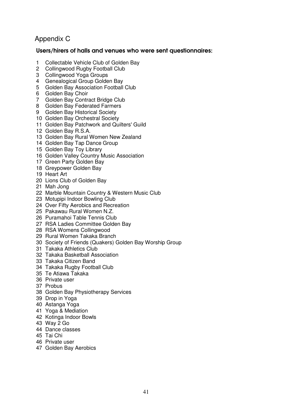### Appendix C

### Users/hirers of halls and venues who were sent questionnaires:

- 1 Collectable Vehicle Club of Golden Bay<br>2 Collingwood Rugby Football Club
- 2 Collingwood Rugby Football Club
- 3 Collingwood Yoga Groups
- 4 Genealogical Group Golden Bay
- 5 Golden Bay Association Football Club
- 6 Golden Bay Choir
- 7 Golden Bay Contract Bridge Club
- 8 Golden Bay Federated Farmers
- 9 Golden Bay Historical Society
- 10 Golden Bay Orchestral Society
- 11 Golden Bay Patchwork and Quilters' Guild
- 12 Golden Bay R.S.A.
- 13 Golden Bay Rural Women New Zealand
- 14 Golden Bay Tap Dance Group
- 15 Golden Bay Toy Library
- 16 Golden Valley Country Music Association
- 17 Green Party Golden Bay
- 18 Greypower Golden Bay
- 19 Heart Art
- 20 Lions Club of Golden Bay
- 21 Mah Jong
- 22 Marble Mountain Country & Western Music Club
- 23 Motupipi Indoor Bowling Club
- 24 Over Fifty Aerobics and Recreation
- 25 Pakawau Rural Women N.Z.
- 26 Puramahoi Table Tennis Club
- 27 RSA Ladies Committee Golden Bay
- 28 RSA Womens Collingwood
- 29 Rural Women Takaka Branch
- 30 Society of Friends (Quakers) Golden Bay Worship Group
- 31 Takaka Athletics Club
- 32 Takaka Basketball Association
- 33 Takaka Citizen Band
- 34 Takaka Rugby Football Club
- 35 Te Atiawa Takaka
- 36 Private user
- 37 Probus
- 38 Golden Bay Physiotherapy Services
- 39 Drop in Yoga
- 40 Astanga Yoga
- 41 Yoga & Mediation
- 42 Kotinga Indoor Bowls
- 43 Way 2 Go
- 44 Dance classes
- 45 Tai Chi
- 46 Private user
- 47 Golden Bay Aerobics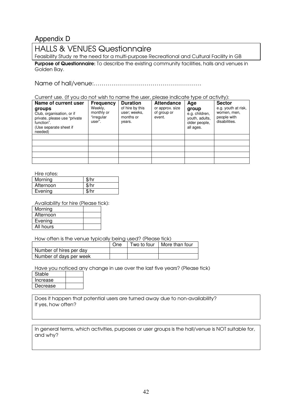### Appendix D

HALLS & VENUES Questionnaire

Feasibility Study re the need for a multi-purpose Recreational and Cultural Facility in GB

**Purpose of Questionnaire:** To describe the existing community facilities, halls and venues in Golden Bay.

Name of hall/venue:……………………………………………….

Current use. (If you do not wish to name the user, please indicate type of activity):

| Name of current user<br>groups<br>Club, organisation, or if<br>private, please use "private"<br>function".<br>(Use separate sheet if<br>needed) | <b>Frequency</b><br>Weekly,<br>monthly or<br>"irregular<br>user". | <b>Duration</b><br>of hire by this<br>user; weeks,<br>months or<br>years. | <b>Attendance</b><br>or approx. size<br>of group or<br>event. | Age<br>group<br>e.g. children,<br>youth, adults,<br>older people,<br>all ages. | <b>Sector</b><br>e.g. youth at risk,<br>women, men,<br>people with<br>disabilities. |
|-------------------------------------------------------------------------------------------------------------------------------------------------|-------------------------------------------------------------------|---------------------------------------------------------------------------|---------------------------------------------------------------|--------------------------------------------------------------------------------|-------------------------------------------------------------------------------------|
|                                                                                                                                                 |                                                                   |                                                                           |                                                               |                                                                                |                                                                                     |
|                                                                                                                                                 |                                                                   |                                                                           |                                                               |                                                                                |                                                                                     |
|                                                                                                                                                 |                                                                   |                                                                           |                                                               |                                                                                |                                                                                     |
|                                                                                                                                                 |                                                                   |                                                                           |                                                               |                                                                                |                                                                                     |
|                                                                                                                                                 |                                                                   |                                                                           |                                                               |                                                                                |                                                                                     |

Hire rates:

| .         |       |
|-----------|-------|
| Morning   | \$/hr |
| Afternoon | \$/hr |
| Evening   | \$/hr |

Availability for hire (Please tick):

| Morning   |  |
|-----------|--|
| Afternoon |  |
| Evening   |  |
| All hours |  |

How often is the venue typically being used? (Please tick)

|                         | One | Two to four | More than four |
|-------------------------|-----|-------------|----------------|
| Number of hires per day |     |             |                |
| Number of days per week |     |             |                |

Have you noticed any change in use over the last five years? (Please tick)

| Stable   |  |
|----------|--|
| Increase |  |
| Decrease |  |
|          |  |

Does it happen that potential users are turned away due to non-availability? If yes, how often?

In general terms, which activities, purposes or user groups is the hall/venue is NOT suitable for, and why?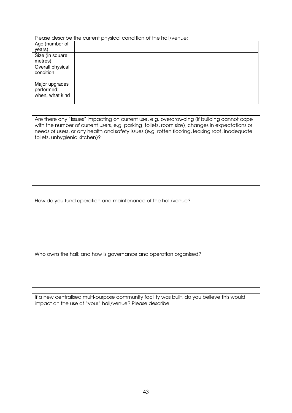Please describe the current physical condition of the hall/venue:

| Age (number of   |  |
|------------------|--|
| years)           |  |
| Size (in square  |  |
| metres)          |  |
| Overall physical |  |
| condition        |  |
|                  |  |
| Major upgrades   |  |
| performed;       |  |
| when, what kind  |  |
|                  |  |

Are there any "issues" impacting on current use, e.g. overcrowding (if building cannot cope with the number of current users, e.g. parking, toilets, room size), changes in expectations or needs of users, or any health and safety issues (e.g. rotten flooring, leaking roof, inadequate toilets, unhygienic kitchen)?

How do you fund operation and maintenance of the hall/venue?

Who owns the hall; and how is governance and operation organised?

If a new centralised multi-purpose community facility was built, do you believe this would impact on the use of "your" hall/venue? Please describe.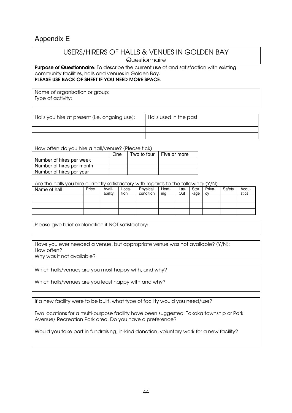### Appendix E

### USERS/HIRERS OF HALLS & VENUES IN GOLDEN BAY **Questionnaire**

Purpose of Questionnaire: To describe the current use of and satisfaction with existing community facilities, halls and venues in Golden Bay. PLEASE USE BACK OF SHEET IF YOU NEED MORE SPACE.

Name of organisation or group: Type of activity:

| Halls you hire at present (i.e. ongoing use): | Halls used in the past: |
|-----------------------------------------------|-------------------------|
|                                               |                         |
|                                               |                         |
|                                               |                         |

How often do you hire a hall/venue? (Please tick)

|                           | One | Two to four I Five or more |
|---------------------------|-----|----------------------------|
| Number of hires per week  |     |                            |
| Number of hires per month |     |                            |
| Number of hires per year  |     |                            |

Are the halls you hire currently satisfactory with regards to the following: (Y/N)

| Name of hall | Price | Avail-<br>ability | Loca-<br>tion | Physical<br>condition | Heat-<br>ing | Lay-<br>Out | Stor<br>-age | Priva-<br>CV | Safety | Acou-<br>stics |
|--------------|-------|-------------------|---------------|-----------------------|--------------|-------------|--------------|--------------|--------|----------------|
|              |       |                   |               |                       |              |             |              |              |        |                |
|              |       |                   |               |                       |              |             |              |              |        |                |
|              |       |                   |               |                       |              |             |              |              |        |                |

Please give brief explanation if NOT satisfactory:

Have you ever needed a venue, but appropriate venue was not available? (Y/N): How often?

Why was it not available?

Which halls/venues are you most happy with, and why?

Which halls/venues are you least happy with and why?

If a new facility were to be built, what type of facility would you need/use?

Two locations for a multi-purpose facility have been suggested: Takaka township or Park Avenue/ Recreation Park area. Do you have a preference?

Would you take part in fundraising, in-kind donation, voluntary work for a new facility?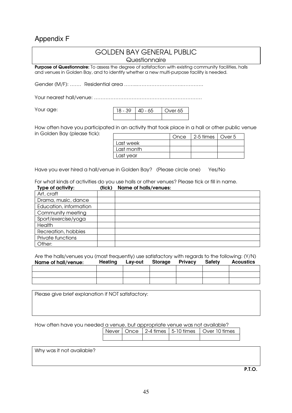### Appendix F

### GOLDEN BAY GENERAL PUBLIC **Questionnaire** Purpose of Questionnaire: To assess the degree of satisfaction with existing community facilities, halls and venues in Golden Bay, and to identify whether a new multi-purpose facility is needed. Gender (M/F): ……. Residential area ……..……………………….…………. Your nearest hall/venue: ………………………………………………………… Your age: How often have you participated in an activity that took place in a hall or other public venue in Golden Bay (please tick): Have you ever hired a hall/venue in Golden Bay? (Please circle one) Yes/No For what kinds of activities do you use halls or other venues? Please tick or fill in name. Type of activity: (tick) Name of halls/venues: Art, craft Drama, music, dance Education, information Community meeting Sport/exercise/yoga **Health** Recreation, hobbies Private functions Other: 18 - 39 40 - 65 Over 65 Once  $\vert$  2-5 times  $\vert$  Over 5 Last week Last month Last year

Are the halls/venues you (most frequently) use satisfactory with regards to the following: (Y/N) Name of hall/venue: **Heating Lay-out Storage Privacy Safety Acoustics** 

Please give brief explanation if NOT satisfactory:

How often have you needed a venue, but appropriate venue was not available?

| ו טושואטווש וטו וישר יו טווישוט ושוט ושטו ושט ושטו וטו שיטוי |  |  |  |  |  |  |  |  |  |
|--------------------------------------------------------------|--|--|--|--|--|--|--|--|--|
| Never   Once   2-4 times   5-10 times   Over 10 times        |  |  |  |  |  |  |  |  |  |
|                                                              |  |  |  |  |  |  |  |  |  |

Why was it not available?

P.T.O.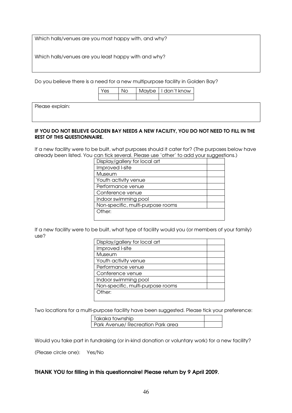Which halls/venues are you most happy with, and why?

Which halls/venues are you least happy with and why?

Do you believe there is a need for a new multipurpose facility in Golden Bay?

| Yes |  | Maybe   I don't know |
|-----|--|----------------------|
|     |  |                      |

Please explain:

#### IF YOU DO NOT BELIEVE GOLDEN BAY NEEDS A NEW FACILITY, YOU DO NOT NEED TO FILL IN THE REST OF THIS QUESTIONNAIRE.

If a new facility were to be built, what purposes should it cater for? (The purposes below have already been listed. You can tick several. Please use 'other' to add your suggestions.)

| Display/gallery for local art     |  |
|-----------------------------------|--|
| Improved I-site                   |  |
| Museum                            |  |
| Youth activity venue              |  |
| Performance venue                 |  |
| Conference venue                  |  |
| Indoor swimming pool              |  |
| Non-specific, multi-purpose rooms |  |
| Other:                            |  |
|                                   |  |

If a new facility were to be built, what type of facility would you (or members of your family) use?

| Display/gallery for local art     |  |
|-----------------------------------|--|
| Improved I-site                   |  |
| Museum                            |  |
| Youth activity venue              |  |
| Performance venue                 |  |
| Conference venue                  |  |
| Indoor swimming pool              |  |
| Non-specific, multi-purpose rooms |  |
| Other:                            |  |
|                                   |  |

Two locations for a multi-purpose facility have been suggested. Please tick your preference:

| Takaka township                   |  |
|-----------------------------------|--|
| Park Avenue/ Recreation Park area |  |

Would you take part in fundraising (or in-kind donation or voluntary work) for a new facility?

(Please circle one): Yes/No

#### THANK YOU for filling in this questionnaire! Please return by 9 April 2009.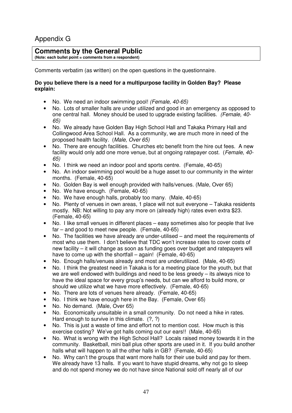### Appendix G

### **Comments by the General Public**

**(Note: each bullet point = comments from a respondent)** 

Comments verbatim (as written) on the open questions in the questionnaire.

### **Do you believe there is a need for a multipurpose facility in Golden Bay? Please explain:**

- No. We need an indoor swimming pool! (Female, 40-65)
- No. Lots of smaller halls are under utilized and good in an emergency as opposed to one central hall. Money should be used to upgrade existing facilities. (Female, 40- 65)
- No. We already have Golden Bay High School Hall and Takaka Primary Hall and Collingwood Area School Hall. As a community, we are much more in need of the proposed health facility. (Male, Over 65)
- No. There are enough facilities. Churches etc benefit from the hire out fees. A new facility would only add one more venue, but at ongoing ratepayer cost. (Female, 40- 65)
- No. I think we need an indoor pool and sports centre. (Female, 40-65)
- No. An indoor swimming pool would be a huge asset to our community in the winter months. (Female, 40-65)
- No. Golden Bay is well enough provided with halls/venues. (Male, Over 65)
- No. We have enough. (Female, 40-65)
- No. We have enough halls, probably too many. (Male, 40-65)
- No. Plenty of venues in own areas, 1 place will not suit everyone Takaka residents mostly. NB: Not willing to pay any more on (already high) rates even extra \$23. (Female, 40-65)
- No. I like small venues in different places easy sometimes also for people that live far – and good to meet new people. (Female, 40-65)
- No. The facilities we have already are under-utilised and meet the requirements of most who use them. I don't believe that TDC won't increase rates to cover costs of new facility – it will change as soon as funding goes over budget and ratepayers will have to come up with the shortfall – again! (Female, 40-65)
- No. Enough halls/venues already and most are underutilized. (Male, 40-65)
- No. I think the greatest need in Takaka is for a meeting place for the youth, but that we are well endowed with buildings and need to be less greedy – its always nice to have the ideal space for every group's needs, but can we afford to build more, or should we utilize what we have more effectively. (Female, 40-65)
- No. There are lots of venues here already. (Female, 40-65)
- No. I think we have enough here in the Bay. (Female, Over 65)
- No. No demand. (Male, Over 65)
- No. Economically unsuitable in a small community. Do not need a hike in rates. Hard enough to survive in this climate. (?, ?)
- No. This is just a waste of time and effort not to mention cost. How much is this exercise costing? We've got halls coming out our ears!! (Male, 40-65)
- No. What is wrong with the High School Hall? Locals raised money towards it in the community. Basketball, mini ball plus other sports are used in it. If you build another halls what will happen to all the other halls in GB? (Female, 40-65)
- No. Why can't the groups that want more halls for their use build and pay for them. We already have 13 halls. If you want to have stupid dreams, why not go to sleep and do not spend money we do not have since National sold off nearly all of our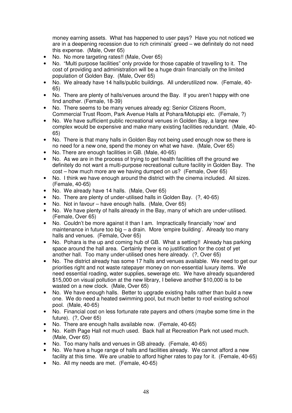money earning assets. What has happened to user pays? Have you not noticed we are in a deepening recession due to rich criminals' greed – we definitely do not need this expense. (Male, Over 65)

- No. No more targeting rates!! (Male, Over 65)<br>• No. "Multi purpose facilities" only provide for the
- No. "Multi purpose facilities" only provide for those capable of travelling to it. The cost of providing and administration will be a huge drain financially on the limited population of Golden Bay. (Male, Over 65)
- No. We already have 14 halls/public buildings. All underutilized now. (Female, 40- 65)
- No. There are plenty of halls/venues around the Bay. If you aren't happy with one find another. (Female, 18-39)
- No. There seems to be many venues already eg: Senior Citizens Room, Commercial Trust Room, Park Avenue Halls at Pohara/Motupipi etc. (Female, ?)
- No. We have sufficient public recreational venues in Golden Bay, a large new complex would be expensive and make many existing facilities redundant. (Male, 40- 65)
- No. There is that many halls in Golden Bay not being used enough now so there is no need for a new one, spend the money on what we have. (Male, Over 65)
- No. There are enough facilities in GB. (Male, 40-65)
- No. As we are in the process of trying to get health facilities off the ground we definitely do not want a multi-purpose recreational culture facility in Golden Bay. The cost – how much more are we having dumped on us? (Female, Over 65)
- No. I think we have enough around the district with the cinema included. All sizes. (Female, 40-65)
- No. We already have 14 halls. (Male, Over 65)
- No. There are plenty of under-utilised halls in Golden Bay. (?, 40-65)
- No. Not in favour have enough halls. (Male, Over 65)
- No. We have plenty of halls already in the Bay, many of which are under-utilised. (Female, Over 65)
- No. Couldn't be more against it than I am. Impractically financially 'now' and maintenance in future too big – a drain. More 'empire building'. Already too many halls and venues. (Female, Over 65)
- No. Pohara is the up and coming hub of GB. What a setting!! Already has parking space around the hall area. Certainly there is no justification for the cost of yet another hall. Too many under-utilised ones here already. (?, Over 65)
- No. The district already has some 17 halls and venues available. We need to get our priorities right and not waste ratepayer money on non-essential luxury items. We need essential roading, water supplies, sewerage etc. We have already squandered \$15,000 on visual pollution at the new library, I believe another \$10,000 is to be wasted on a new clock. (Male, Over 65)
- No. We have enough halls. Better to upgrade existing halls rather than build a new one. We do need a heated swimming pool, but much better to roof existing school pool. (Male, 40-65)
- No. Financial cost on less fortunate rate payers and others (maybe some time in the future). (?, Over 65)
- No. There are enough halls available now. (Female, 40-65)
- No. Keith Page Hall not much used. Back hall at Recreation Park not used much. (Male, Over 65)
- No. Too many halls and venues in GB already. (Female, 40-65)
- No. We have a huge range of halls and facilities already. We cannot afford a new facility at this time. We are unable to afford higher rates to pay for it. (Female, 40-65)
- No. All my needs are met. (Female, 40-65)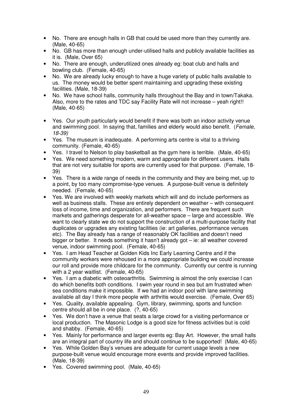- No. There are enough halls in GB that could be used more than they currently are. (Male, 40-65)
- No. GB has more than enough under-utilised halls and publicly available facilities as it is. (Male, Over 65)
- No. There are enough, underutilized ones already eg: boat club and halls and bowling club. (Female, 40-65)
- No. We are already lucky enough to have a huge variety of public halls available to us. The money would be better spent maintaining and upgrading these existing facilities. (Male, 18-39)
- No. We have school halls, community halls throughout the Bay and in town/Takaka. Also, more to the rates and TDC say Facility Rate will not increase – yeah right!! (Male, 40-65)
- Yes. Our youth particularly would benefit if there was both an indoor activity venue and swimming pool. In saying that, families and elderly would also benefit. (Female, 18-39)
- Yes. The museum is inadequate. A performing arts centre is vital to a thriving community. (Female, 40-65)
- Yes. I travel to Nelson to play basketball as the gym here is terrible. (Male, 40-65)
- Yes. We need something modern, warm and appropriate for different users. Halls that are not very suitable for sports are currently used for that purpose. (Female, 18- 39)
- Yes. There is a wide range of needs in the community and they are being met, up to a point, by too many compromise-type venues. A purpose-built venue is definitely needed. (Female, 40-65)
- Yes. We are involved with weekly markets which will and do include performers as well as business stalls. These are entirely dependent on weather – with consequent loss of income, time and organization, and performers. There are frequent such markets and gatherings desperate for all-weather space – large and accessible. We want to clearly state we do not support the construction of a multi-purpose facility that duplicates or upgrades any existing facilities (ie: art galleries, performance venues etc). The Bay already has a range of reasonably OK facilities and doesn't need bigger or better. It needs something it hasn't already got – ie: all weather covered venue, indoor swimming pool. (Female, 40-65)
- Yes. I am Head Teacher at Golden Kids Inc Early Learning Centre and if the community workers were rehoused in a more appropriate building we could increase our roll and provide more childcare for the community. Currently our centre is running with a 2 year waitlist. (Female, 40-65)
- Yes. I am a diabetic with osteoarthritis. Swimming is almost the only exercise I can do which benefits both conditions. I swim year round in sea but am frustrated when sea conditions make it impossible. If we had an indoor pool with lane swimming available all day I think more people with arthritis would exercise. (Female, Over 65)
- Yes. Quality, available appealing. Gym, library, swimming, sports and function centre should all be in one place. (?, 40-65)
- Yes. We don't have a venue that seats a large crowd for a visiting performance or local production. The Masonic Lodge is a good size for fitness activities but is cold and shabby. (Female, 40-65)
- Yes. Mainly for performance and larger events eg: Bay Art. However, the small halls are an integral part of country life and should continue to be supported! (Male, 40-65)
- Yes. While Golden Bay's venues are adequate for current usage levels a new purpose-built venue would encourage more events and provide improved facilities. (Male, 18-39)
- Yes. Covered swimming pool. (Male, 40-65)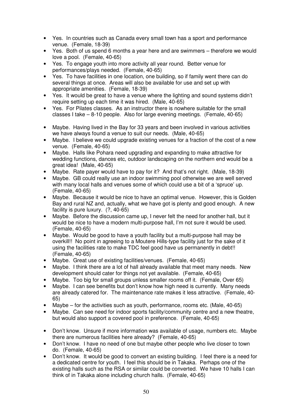- Yes. In countries such as Canada every small town has a sport and performance venue. (Female, 18-39)
- Yes. Both of us spend 6 months a year here and are swimmers therefore we would love a pool. (Female, 40-65)
- Yes. To engage youth into more activity all year round. Better venue for performances/plays needed. (Female, 40-65)
- Yes. To have facilities in one location, one building, so if family went there can do several things at once. Areas will also be available for use and set up with appropriate amenities. (Female, 18-39)
- Yes. It would be great to have a venue where the lighting and sound systems didn't require setting up each time it was hired. (Male, 40-65)
- Yes. For Pilates classes. As an instructor there is nowhere suitable for the small classes I take – 8-10 people. Also for large evening meetings. (Female, 40-65)
- Maybe. Having lived in the Bay for 33 years and been involved in various activities we have always found a venue to suit our needs. (Male, 40-65)
- Maybe. I believe we could upgrade existing venues for a fraction of the cost of a new venue. (Female, 40-65)
- Maybe. Halls like Pohara need upgrading and expanding to make attractive for wedding functions, dances etc, outdoor landscaping on the northern end would be a great idea! (Male, 40-65)
- Maybe. Rate payer would have to pay for it? And that's not right. (Male, 18-39)
- Maybe. GB could really use an indoor swimming pool otherwise we are well served with many local halls and venues some of which could use a bit of a 'spruce' up. (Female, 40-65)
- Maybe. Because it would be nice to have an optimal venue. However, this is Golden Bay and rural NZ and, actually, what we have got is plenty and good enough. A new facility is pure luxury. (?, 40-65)
- Maybe. Before the discussion came up. I never felt the need for another hall, but it would be nice to have a modern multi-purpose hall, I'm not sure it would be used. (Female, 40-65)
- Maybe. Would be good to have a youth facility but a multi-purpose hall may be overkill!! No point in agreeing to a Moutere Hills-type facility just for the sake of it using the facilities rate to make TDC feel good have us permanently in debt!! (Female, 40-65)
- Maybe. Great use of existing facilities/venues. (Female, 40-65)
- Maybe. I think there are a lot of hall already available that meet many needs. New development should cater for things not yet available. (Female, 40-65)
- Maybe. Too big for small groups unless smaller rooms off it. (Female, Over 65)
- Maybe. I can see benefits but don't know how high need is currently. Many needs are already catered for. The maintenance rate makes it less attractive. (Female, 40- 65)
- Maybe for the activities such as youth, performance, rooms etc. (Male, 40-65)
- Maybe. Can see need for indoor sports facility/community centre and a new theatre, but would also support a covered pool in preference. (Female, 40-65)
- Don't know. Unsure if more information was available of usage, numbers etc. Maybe there are numerous facilities here already? (Female, 40-65)
- Don't know. I have no need of one but maybe other people who live closer to town do. (Female, 40-65)
- Don't know. It would be good to convert an existing building. I feel there is a need for a dedicated centre for youth. I feel this should be in Takaka. Perhaps one of the existing halls such as the RSA or similar could be converted. We have 10 halls I can think of in Takaka alone including church halls. (Female, 40-65)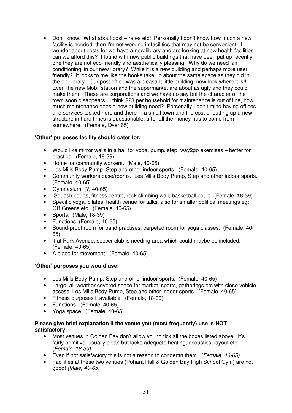• Don't know. What about cost – rates etc! Personally I don't know how much a new facility is needed, then I'm not working in facilities that may not be convenient. I wonder about costs for we have a new library and are looking at new health facilities can we afford this? I found with new public buildings that have been put up recently, one they are not eco-friendly and aesthetically pleasing. Why do we need 'air conditioning' in our new library? While it is a new building and perhaps more user friendly? It looks to me like the books take up about the same space as they did in the old library. Our post office was a pleasant little building, now look where it is!! Even the new Mobil station and the supermarket are about as ugly and they could make them. These are corporations and we have no say but the character of the town soon disappears. I think \$23 per household for maintenance is out of line, how much maintenance does a new building need? Personally I don't mind having offices and services tucked here and there in a small town and the cost of putting up a new structure in hard times is questionable, after all the money has to come from somewhere. (Female, Over 65)

### **'Other' purposes facility should cater for:**

- Would like mirror walls in a hall for yoga, pump, step, way2go exercises better for practice. (Female, 18-39)
- Home for community workers. (Male, 40-65)
- Les Mills Body Pump, Step and other indoor sports. (Female, 40-65)
- Community workers base/rooms. Les Mills Body Pump, Step and other indoor sports. (Female, 40-65)
- Gymnasium. (?, 40-65)
- Squash courts, fitness centre, rock climbing wall, basketball court. (Female, 18-39).
- Specific yoga, pilates, health venue for talks, also for smaller political meetings eg: GB Greens etc. (Female, 40-65)
- Sports. (Male, 18-39)
- Functions. (Female, 40-65)
- Sound-proof room for band practises, carpeted room for yoga classes. (Female, 40- 65)
- If at Park Avenue, soccer club is needing area which could maybe be included. (Female, 40-65)
- A place for movement. (Female, 40-65)

### **'Other' purposes you would use:**

- Les Mills Body Pump, Step and other indoor sports. (Female, 40-65)
- Large, all-weather covered space for market, sports, gatherings etc with close vehicle access. Les Mills Body Pump, Step and other indoor sports. (Female, 40-65)
- Fitness purposes if available. (Female, 18-39)
- Functions. (Female, 40-65)
- Yoga space. (Female, 40-65)

### **Please give brief explanation if the venue you (most frequently) use is NOT satisfactory:**

- Most venues in Golden Bay don't allow you to tick all the boxes listed above. It's fairly primitive, usually clean but lacks adequate heating, acoustics, layout etc. (Female, 18-39)
- Even if not satisfactory this is not a reason to condemn them. (Female,  $40-65$ )
- Facilities at these two venues (Pohara Hall & Golden Bay High School Gym) are not good! (Male, 40-65)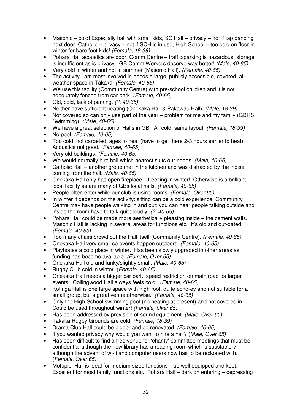- Masonic cold! Especially hall with small kids, SC Hall privacy not if tap dancing next door. Catholic – privacy – not if SCH is in use, High School – too cold on floor in winter for bare foot kids! (Female, 18-39)
- Pohara Hall acoustics are poor, Comm Centre traffic/parking is hazardous, storage is insufficient as is privacy. GB Comm Workers deserve way better! (Male, 40-65)
- Very cold in winter and hot in summer (Masonic Hall). (Female, 40-65)
- The activity I am most involved in needs a large, publicly accessible, covered, allweather space in Takaka. (Female, 40-65)
- We use this facility (Community Centre) with pre-school children and it is not adequately fenced from car park. (Female, 40-65)
- Old, cold, lack of parking. (?, 40-65)
- Neither have sufficient heating (Onekaka Hall & Pakawau Hall). (Male, 18-39)
- Not covered so can only use part of the year problem for me and my family (GBHS Swimming). (Male, 40-65)
- We have a great selection of Halls in GB. All cold, same layout. (Female, 18-39)<br>• No pool. (Female. 40-65)
- No pool. (Female, 40-65)
- Too cold, not carpeted, ages to heat (have to get there 2-3 hours earlier to heat). Acoustics not good. (Female, 40-65)
- Very old buildings. (Female, 40-65)
- We would normally hire hall which nearest suits our needs. (Male, 40-65)
- Catholic Hall another group met in the kitchen and was distracted by the 'noise' coming from the hall. (Male, 40-65)
- Onekaka Hall only has open fireplace freezing in winter! Otherwise is a brilliant local facility as are many of GBs local halls. (Female, 40-65)
- People often enter while our club is using rooms. (Female, Over 65)
- In winter it depends on the activity: sitting can be a cold experience, Community Centre may have people walking in and out; you can hear people talking outside and inside the room have to talk quite loudly. (?, 40-65)
- Pohara Hall could be made more aesthetically pleasing inside the cement walls. Masonic Hall is lacking in several areas for functions etc. It's old and out-dated. (Female, 40-65)
- Too many chairs crowd out the Hall itself (Community Centre). (Female, 40-65)
- Onekaka Hall very small so events happen outdoors. (Female, 40-65)
- Playhouse a cold place in winter. Has been slowly upgraded in other areas as funding has become available. (Female, Over 65)
- Onekaka Hall old and funky/slightly small. (Male, 40-65)
- Rugby Club cold in winter. (Female, 40-65)
- Onekaka Hall needs a bigger car park, speed restriction on main road for larger events. Collingwood Hall always feels cold. (Female, 40-65)
- Kotinga Hall is one large space with high roof, quite echo-ey and not suitable for a small group, but a great venue otherwise. (Female, 40-65)
- Only the High School swimming pool (no heating at present) and not covered in. Could be used throughout winter! (Female, Over 65)
- Has been addressed by provision of sound equipment. *(Male, Over 65)*
- Takaka Rugby Grounds are cold. (Female, 18-39)
- Drama Club Hall could be bigger and be renovated. (Female, 40-65)
- If you wanted privacy why would you want to hire a hall? (Male, Over 65)
- Has been difficult to find a free venue for 'charity' committee meetings that must be confidential although the new library has a reading room which is satisfactory although the advent of wi-fi and computer users now has to be reckoned with. (Female, Over 65)
- Motupipi Hall is ideal for medium sized functions so well equipped and kept. Excellent for most family functions etc. Pohara Hall – dark on entering – depressing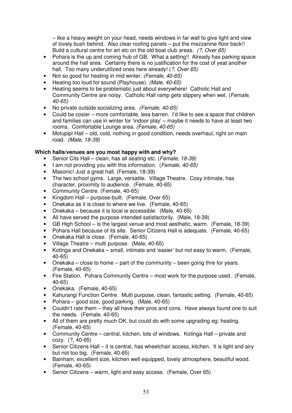– like a heavy weight on your head, needs windows in far wall to give light and view of lovely bush behind. Also clear roofing panels – put the mezzanine floor back!! Build a cultural centre for art etc on the old boat club areas. (?, Over 65)

- Pohara is the up and coming hub of GB. What a setting!! Already has parking space around the hall area. Certainly there is no justification for the cost of yeat another hall. Too many underutilized ones here already! (?, Over 65)
- Not so good for heating in mid winter. (Female, 40-65)
- Heating too loud for sound (Playhouse). (Male, 40-65)
- Heating seems to be problematic just about everywhere! Catholic Hall and Community Centre are noisy. Catholic Hall ramp gets slippery when wet. (Female, 40-65)
- No private outside socializing area. (Female, 40-65)
- Could be cosier more comfortable, less barren. I'd like to see a space that children and families can use in winter for 'indoor play' – maybe it needs to have at least two rooms. Comfortable Lounge area. (Female, 40-65)
- Motupipi Hall old, cold, nothing in good condition, needs overhaul, right on main road. (Male, 18-39)

### **Which halls/venues are you most happy with and why?**

- Senior Cits Hall clean, has all seating etc. (Female, 18-39)
- I am not providing you with this information. (Female, 40-65)
- Masonic! Just a great hall. (Female, 18-39)
- The two school gyms. Large, versatile. Village Theatre. Cosy intimate, has character, proximity to audience. (Female, 40-65)
- Community Centre. (Female, 40-65)
- Kingdom Hall purpose-built. (Female, Over 65)
- Onekaka as it is close to where we live. (Female, 40-65)
- Onekaka because it is local ie accessible. (Male, 40-65)
- All have served the purpose intended satisfactorily. (Male, 18-39)
- GB High School is the largest venue and most aesthetic, warm. (Female, 18-39)
- Pohara Hall because of its site. Senior Citizens Hall is adequate. (Female, 40-65)
- Onekaka Hall is close. (Female, 40-65)
- Village Theatre multi purpose. (Male, 40-65)
- Kotinga and Onekaka small, intimate and 'easier' but not easy to warm. (Female, 40-65)
- Onekaka close to home part of the community been going thre for years. (Female, 40-65)
- Fire Station. Pohara Community Centre most work for the purpose used. (Female, 40-65)
- Onekaka. (Female, 40-65)
- Kahurangi Function Centre. Multi purpose, clean, fantastic setting. (Female, 40-65)
- Pohara good size, good parking. (Male, 40-65)
- Couldn't rate them they all have their pros and cons. Have always found one to suit the needs. (Female, 40-65)
- All of them are pretty much OK, but could do with some upgrading eg: heating. (Female, 40-65)
- Community Centre central, kitchen, lots of windows. Kotinga Hall private and cozy. (?, 40-65)
- Senior Citizens Hall it is central, has wheelchair access, kitchen. It is light and airy but not too big. (Female, 40-65)
- Bainham, excellent size, kitchen well equipped, lovely atmosphere, beautiful wood. (Female, 40-65)
- Senior Citizens warm, light and easy access. (Female, Over 65)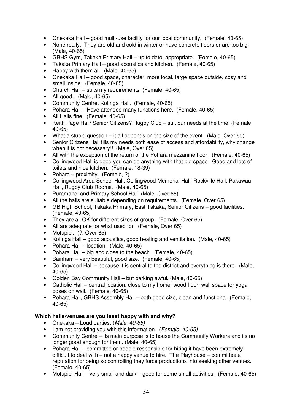- Onekaka Hall good multi-use facility for our local community. (Female, 40-65)
- None really. They are old and cold in winter or have concrete floors or are too big. (Male, 40-65)
- GBHS Gym, Takaka Primary Hall up to date, appropriate. (Female, 40-65)
- Takaka Primary Hall good acoustics and kitchen. (Female, 40-65)
- Happy with them all. (Male, 40-65)
- Onekaka Hall good space, character, more local, large space outside, cosy and small inside. (Female, 40-65)
- Church Hall suits my requirements. (Female, 40-65)
- All good. (Male, 40-65)
- Community Centre, Kotinga Hall. (Female, 40-65)
- Pohara Hall Have attended many functions here. (Female, 40-65)
- All Halls fine. (Female, 40-65)
- Keith Page Hall/ Senior Citizens? Rugby Club suit our needs at the time. (Female, 40-65)
- What a stupid question it all depends on the size of the event. (Male, Over 65)
- Senior Citizens Hall fills my needs both ease of access and affordability, why change when it is not necessary!! (Male, Over 65)
- All with the exception of the return of the Pohara mezzanine floor. (Female, 40-65)
- Collingwood Hall is good you can do anything with that big space. Good and lots of toilets and nice kitchen. (Female, 18-39)
- Pohara proximity. (Female, ?)
- Collingwood Area School Hall, Collingwood Memorial Hall, Rockville Hall, Pakawau Hall, Rugby Club Rooms. (Male, 40-65)
- Puramahoi and Primary School Hall. (Male, Over 65)
- All the halls are suitable depending on requirements. (Female, Over 65)
- GB High School, Takaka Primary, East Takaka, Senior Citizens good facilities. (Female, 40-65)
- They are all OK for different sizes of group. (Female, Over 65)
- All are adequate for what used for. (Female, Over 65)
- Motupipi. (?, Over 65)
- Kotinga Hall good acoustics, good heating and ventilation. (Male, 40-65)
- Pohara Hall location. (Male, 40-65)
- Pohara Hall big and close to the beach. (Female, 40-65)
- Bainham very beautiful, good size. (Female, 40-65)
- Collingwood Hall because it is central to the district and everything is there. (Male, 40-65)
- Golden Bay Community Hall but parking awful. (Male, 40-65)
- Catholic Hall central location, close to my home, wood floor, wall space for yoga poses on wall. (Female, 40-65)
- Pohara Hall, GBHS Assembly Hall both good size, clean and functional. (Female, 40-65)

### **Which halls/venues are you least happy with and why?**

- Onekaka Loud parties. (Male, 40-65)
- I am not providing you with this information. (Female, 40-65)
- Community Centre its main purpose is to house the Community Workers and its no longer good enough for them. (Male, 40-65)
- Pohara Hall committee or people responsible for hiring it have been extremely difficult to deal with – not a happy venue to hire. The Playhouse – committee a reputation for being so controlling they force productions into seeking other venues. (Female, 40-65)
- Motupipi Hall very small and dark good for some small activities. (Female, 40-65)